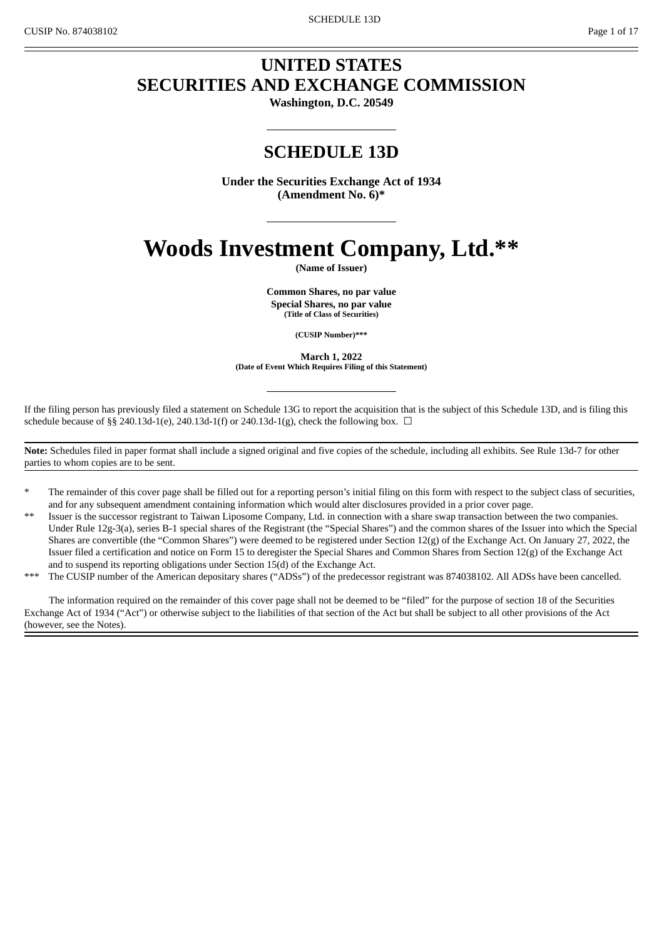# **UNITED STATES SECURITIES AND EXCHANGE COMMISSION**

**Washington, D.C. 20549**

# **SCHEDULE 13D**

**Under the Securities Exchange Act of 1934 (Amendment No. 6)\***

# **Woods Investment Company, Ltd.\*\***

**(Name of Issuer)**

**Common Shares, no par value Special Shares, no par value (Title of Class of Securities)**

**(CUSIP Number)\*\*\***

**March 1, 2022 (Date of Event Which Requires Filing of this Statement)**

If the filing person has previously filed a statement on Schedule 13G to report the acquisition that is the subject of this Schedule 13D, and is filing this schedule because of §§ 240.13d-1(e), 240.13d-1(f) or 240.13d-1(g), check the following box.  $\Box$ 

**Note:** Schedules filed in paper format shall include a signed original and five copies of the schedule, including all exhibits. See Rule 13d-7 for other parties to whom copies are to be sent.

- The remainder of this cover page shall be filled out for a reporting person's initial filing on this form with respect to the subject class of securities, and for any subsequent amendment containing information which would alter disclosures provided in a prior cover page.
- Issuer is the successor registrant to Taiwan Liposome Company, Ltd. in connection with a share swap transaction between the two companies. Under Rule 12g-3(a), series B-1 special shares of the Registrant (the "Special Shares") and the common shares of the Issuer into which the Special Shares are convertible (the "Common Shares") were deemed to be registered under Section 12(g) of the Exchange Act. On January 27, 2022, the Issuer filed a certification and notice on Form 15 to deregister the Special Shares and Common Shares from Section 12(g) of the Exchange Act and to suspend its reporting obligations under Section 15(d) of the Exchange Act.
- The CUSIP number of the American depositary shares ("ADSs") of the predecessor registrant was 874038102. All ADSs have been cancelled.

The information required on the remainder of this cover page shall not be deemed to be "filed" for the purpose of section 18 of the Securities Exchange Act of 1934 ("Act") or otherwise subject to the liabilities of that section of the Act but shall be subject to all other provisions of the Act (however, see the Notes).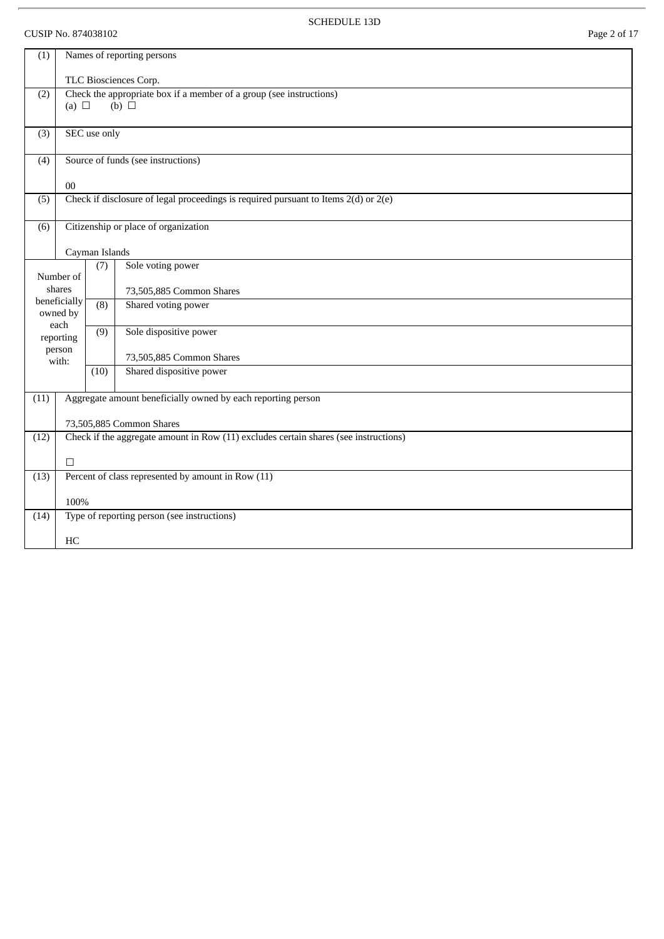# CUSIP No. 874038102 Page 2 of 17

 $\overline{r}$ 

SCHEDULE 13D

| (1)  | Names of reporting persons                                                                           |                |                                                                                         |  |  |
|------|------------------------------------------------------------------------------------------------------|----------------|-----------------------------------------------------------------------------------------|--|--|
|      |                                                                                                      |                | TLC Biosciences Corp.                                                                   |  |  |
| (2)  | Check the appropriate box if a member of a group (see instructions)<br>(a) $\Box$<br>$(b)$ $\square$ |                |                                                                                         |  |  |
| (3)  |                                                                                                      | SEC use only   |                                                                                         |  |  |
| (4)  |                                                                                                      |                | Source of funds (see instructions)                                                      |  |  |
|      | $00\,$                                                                                               |                |                                                                                         |  |  |
| (5)  |                                                                                                      |                | Check if disclosure of legal proceedings is required pursuant to Items $2(d)$ or $2(e)$ |  |  |
| (6)  |                                                                                                      |                | Citizenship or place of organization                                                    |  |  |
|      |                                                                                                      | Cayman Islands |                                                                                         |  |  |
|      | Number of                                                                                            | (7)            | Sole voting power                                                                       |  |  |
|      | shares                                                                                               |                | 73,505,885 Common Shares                                                                |  |  |
|      | beneficially<br>owned by                                                                             | (8)            | Shared voting power                                                                     |  |  |
|      | each<br>reporting<br>person                                                                          | (9)            | Sole dispositive power                                                                  |  |  |
|      | with:                                                                                                |                | 73,505,885 Common Shares                                                                |  |  |
|      |                                                                                                      | (10)           | Shared dispositive power                                                                |  |  |
| (11) |                                                                                                      |                | Aggregate amount beneficially owned by each reporting person                            |  |  |
|      |                                                                                                      |                | 73,505,885 Common Shares                                                                |  |  |
| (12) | Check if the aggregate amount in Row (11) excludes certain shares (see instructions)                 |                |                                                                                         |  |  |
|      | $\Box$                                                                                               |                |                                                                                         |  |  |
| (13) | Percent of class represented by amount in Row (11)                                                   |                |                                                                                         |  |  |
|      | 100%                                                                                                 |                |                                                                                         |  |  |
| (14) |                                                                                                      |                | Type of reporting person (see instructions)                                             |  |  |
|      | HC                                                                                                   |                |                                                                                         |  |  |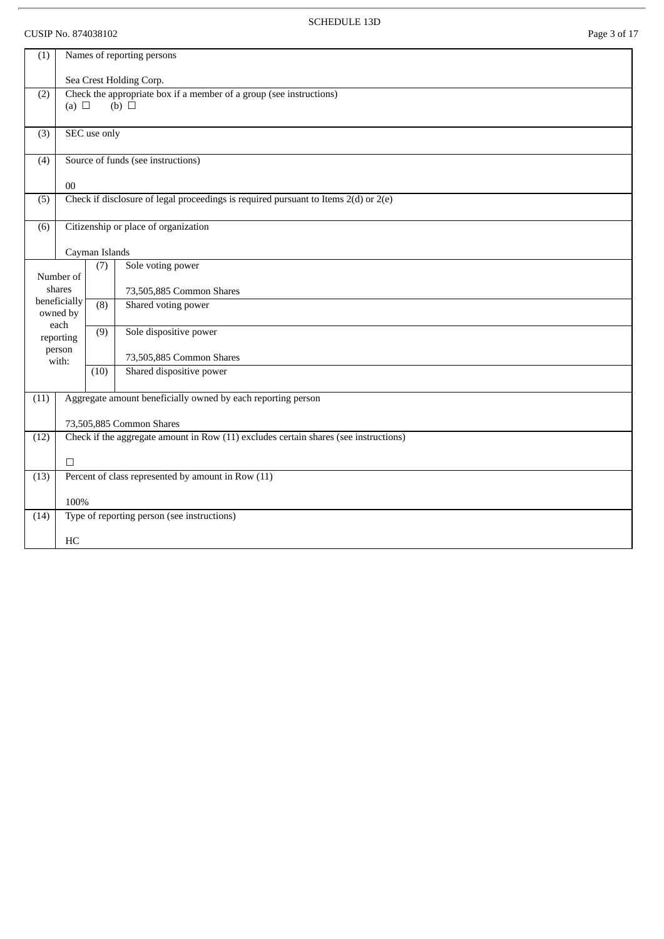# CUSIP No. 874038102 Page 3 of 17

l,

SCHEDULE 13D

| (1)  | Names of reporting persons                                                             |                                                                                                      |                                                                                         |  |  |  |
|------|----------------------------------------------------------------------------------------|------------------------------------------------------------------------------------------------------|-----------------------------------------------------------------------------------------|--|--|--|
|      |                                                                                        |                                                                                                      | Sea Crest Holding Corp.                                                                 |  |  |  |
| (2)  |                                                                                        | Check the appropriate box if a member of a group (see instructions)<br>$(b)$ $\square$<br>(a) $\Box$ |                                                                                         |  |  |  |
| (3)  |                                                                                        | SEC use only                                                                                         |                                                                                         |  |  |  |
| (4)  |                                                                                        |                                                                                                      | Source of funds (see instructions)                                                      |  |  |  |
|      | 00                                                                                     |                                                                                                      |                                                                                         |  |  |  |
| (5)  |                                                                                        |                                                                                                      | Check if disclosure of legal proceedings is required pursuant to Items $2(d)$ or $2(e)$ |  |  |  |
| (6)  |                                                                                        |                                                                                                      | Citizenship or place of organization                                                    |  |  |  |
|      |                                                                                        | Cayman Islands                                                                                       |                                                                                         |  |  |  |
|      | Number of                                                                              | (7)                                                                                                  | Sole voting power                                                                       |  |  |  |
|      | shares                                                                                 |                                                                                                      | 73,505,885 Common Shares                                                                |  |  |  |
|      | beneficially<br>owned by                                                               | (8)                                                                                                  | Shared voting power                                                                     |  |  |  |
|      | each<br>reporting<br>person                                                            | (9)                                                                                                  | Sole dispositive power                                                                  |  |  |  |
|      | with:                                                                                  |                                                                                                      | 73,505,885 Common Shares                                                                |  |  |  |
|      |                                                                                        | (10)                                                                                                 | Shared dispositive power                                                                |  |  |  |
| (11) |                                                                                        |                                                                                                      | Aggregate amount beneficially owned by each reporting person                            |  |  |  |
|      |                                                                                        |                                                                                                      | 73,505,885 Common Shares                                                                |  |  |  |
| (12) | Check if the aggregate amount in Row $(11)$ excludes certain shares (see instructions) |                                                                                                      |                                                                                         |  |  |  |
|      | П                                                                                      |                                                                                                      |                                                                                         |  |  |  |
| (13) | Percent of class represented by amount in Row (11)                                     |                                                                                                      |                                                                                         |  |  |  |
|      | 100%                                                                                   |                                                                                                      |                                                                                         |  |  |  |
| (14) |                                                                                        |                                                                                                      | Type of reporting person (see instructions)                                             |  |  |  |
|      | HC                                                                                     |                                                                                                      |                                                                                         |  |  |  |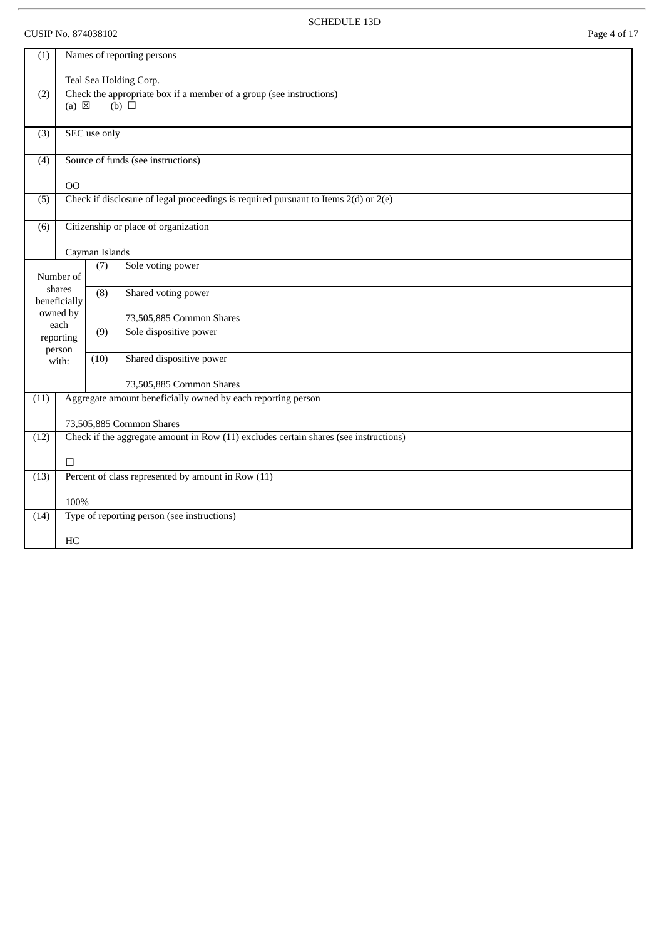# CUSIP No. 874038102 Page 4 of 17

 $\overline{r}$ 

SCHEDULE 13D

| (1)                                                                                          | Names of reporting persons                                                                                |                  |                                                                                         |  |  |
|----------------------------------------------------------------------------------------------|-----------------------------------------------------------------------------------------------------------|------------------|-----------------------------------------------------------------------------------------|--|--|
|                                                                                              |                                                                                                           |                  | Teal Sea Holding Corp.                                                                  |  |  |
| (2)                                                                                          | Check the appropriate box if a member of a group (see instructions)<br>$(b)$ $\square$<br>$(a) \boxtimes$ |                  |                                                                                         |  |  |
| (3)                                                                                          |                                                                                                           | SEC use only     |                                                                                         |  |  |
| (4)                                                                                          |                                                                                                           |                  | Source of funds (see instructions)                                                      |  |  |
|                                                                                              | <b>OO</b>                                                                                                 |                  |                                                                                         |  |  |
| (5)                                                                                          |                                                                                                           |                  | Check if disclosure of legal proceedings is required pursuant to Items $2(d)$ or $2(e)$ |  |  |
| (6)                                                                                          |                                                                                                           |                  | Citizenship or place of organization                                                    |  |  |
|                                                                                              |                                                                                                           | Cayman Islands   |                                                                                         |  |  |
|                                                                                              | Number of                                                                                                 | (7)              | Sole voting power                                                                       |  |  |
|                                                                                              | shares<br>beneficially                                                                                    | $\overline{(8)}$ | Shared voting power                                                                     |  |  |
|                                                                                              | owned by<br>each                                                                                          |                  | 73,505,885 Common Shares                                                                |  |  |
|                                                                                              | reporting<br>person                                                                                       | (9)              | Sole dispositive power                                                                  |  |  |
|                                                                                              | with:                                                                                                     | (10)             | Shared dispositive power                                                                |  |  |
|                                                                                              |                                                                                                           |                  | 73,505,885 Common Shares                                                                |  |  |
| (11)                                                                                         |                                                                                                           |                  | Aggregate amount beneficially owned by each reporting person                            |  |  |
|                                                                                              |                                                                                                           |                  | 73,505,885 Common Shares                                                                |  |  |
| Check if the aggregate amount in Row (11) excludes certain shares (see instructions)<br>(12) |                                                                                                           |                  |                                                                                         |  |  |
|                                                                                              | П                                                                                                         |                  |                                                                                         |  |  |
| (13)                                                                                         |                                                                                                           |                  | Percent of class represented by amount in Row (11)                                      |  |  |
| 100%                                                                                         |                                                                                                           |                  |                                                                                         |  |  |
| (14)                                                                                         |                                                                                                           |                  | Type of reporting person (see instructions)                                             |  |  |
|                                                                                              | HC                                                                                                        |                  |                                                                                         |  |  |
|                                                                                              |                                                                                                           |                  |                                                                                         |  |  |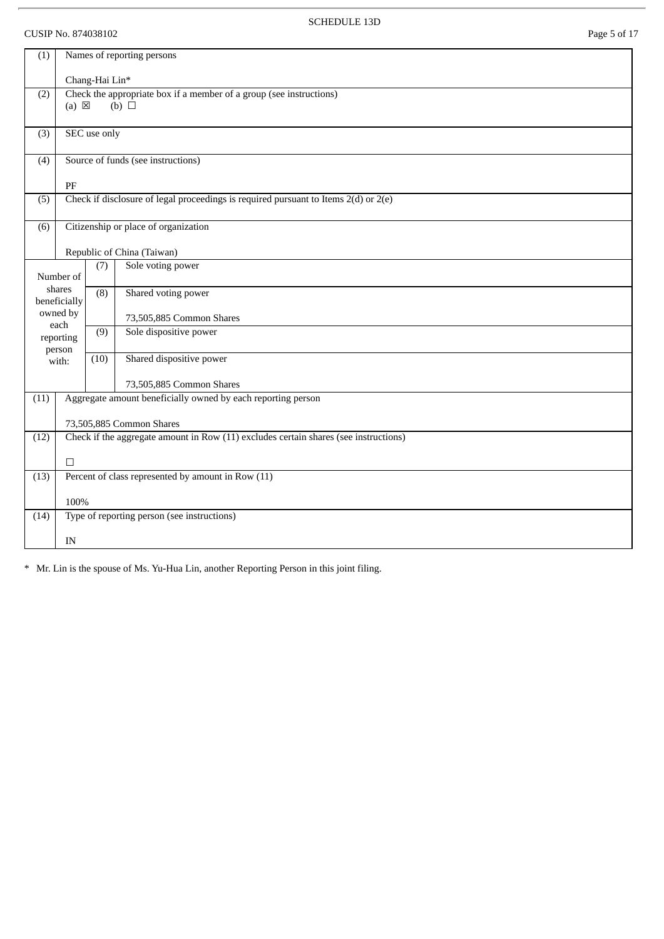# CUSIP No. 874038102 Page 5 of 17

SCHEDULE 13D

| (1)                                   | Names of reporting persons |                |                                                                                         |  |  |  |
|---------------------------------------|----------------------------|----------------|-----------------------------------------------------------------------------------------|--|--|--|
|                                       |                            | Chang-Hai Lin* |                                                                                         |  |  |  |
| (2)                                   | $(a) \boxtimes$            |                | Check the appropriate box if a member of a group (see instructions)<br>$(b)$ $\square$  |  |  |  |
|                                       |                            |                |                                                                                         |  |  |  |
| (3)                                   |                            | SEC use only   |                                                                                         |  |  |  |
| (4)                                   |                            |                | Source of funds (see instructions)                                                      |  |  |  |
|                                       | $\rm PF$                   |                |                                                                                         |  |  |  |
| (5)                                   |                            |                | Check if disclosure of legal proceedings is required pursuant to Items $2(d)$ or $2(e)$ |  |  |  |
| (6)                                   |                            |                | Citizenship or place of organization                                                    |  |  |  |
|                                       |                            |                | Republic of China (Taiwan)                                                              |  |  |  |
| Sole voting power<br>(7)<br>Number of |                            |                |                                                                                         |  |  |  |
|                                       | shares<br>beneficially     | (8)            | Shared voting power                                                                     |  |  |  |
|                                       | owned by<br>each           |                | 73,505,885 Common Shares                                                                |  |  |  |
|                                       | reporting<br>person        | (9)            | Sole dispositive power                                                                  |  |  |  |
|                                       | with:                      | (10)           | Shared dispositive power                                                                |  |  |  |
|                                       |                            |                | 73,505,885 Common Shares                                                                |  |  |  |
| (11)                                  |                            |                | Aggregate amount beneficially owned by each reporting person                            |  |  |  |
|                                       |                            |                | 73,505,885 Common Shares                                                                |  |  |  |
| (12)                                  |                            |                | Check if the aggregate amount in Row (11) excludes certain shares (see instructions)    |  |  |  |
|                                       | П                          |                |                                                                                         |  |  |  |
| (13)                                  |                            |                | Percent of class represented by amount in Row (11)                                      |  |  |  |
| 100%                                  |                            |                |                                                                                         |  |  |  |
| (14)                                  |                            |                | Type of reporting person (see instructions)                                             |  |  |  |
|                                       | IN                         |                |                                                                                         |  |  |  |

\* Mr. Lin is the spouse of Ms. Yu-Hua Lin, another Reporting Person in this joint filing.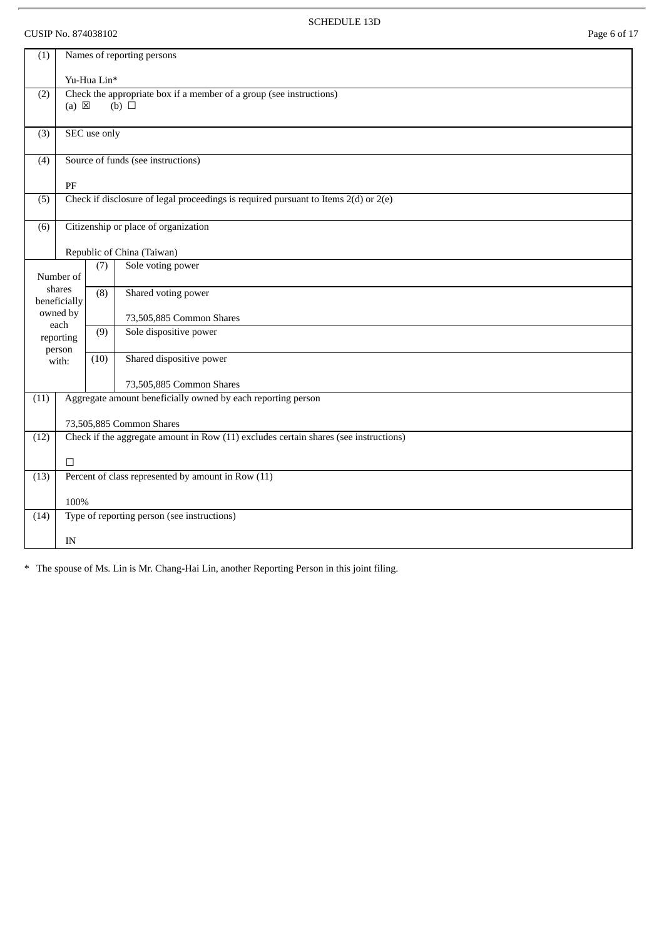# CUSIP No. 874038102 Page 6 of 17

SCHEDULE 13D

| (1)  |                                                                                      |              | Names of reporting persons                                                             |
|------|--------------------------------------------------------------------------------------|--------------|----------------------------------------------------------------------------------------|
|      |                                                                                      | Yu-Hua Lin*  |                                                                                        |
| (2)  | $(a) \boxtimes$                                                                      |              | Check the appropriate box if a member of a group (see instructions)<br>$(b)$ $\square$ |
|      |                                                                                      |              |                                                                                        |
| (3)  |                                                                                      | SEC use only |                                                                                        |
| (4)  |                                                                                      |              | Source of funds (see instructions)                                                     |
|      | PF                                                                                   |              |                                                                                        |
| (5)  |                                                                                      |              | Check if disclosure of legal proceedings is required pursuant to Items 2(d) or 2(e)    |
| (6)  |                                                                                      |              | Citizenship or place of organization                                                   |
|      |                                                                                      |              | Republic of China (Taiwan)                                                             |
|      | Number of                                                                            | (7)          | Sole voting power                                                                      |
|      | shares<br>beneficially                                                               | (8)          | Shared voting power                                                                    |
|      | owned by                                                                             |              | 73,505,885 Common Shares                                                               |
|      | each<br>reporting<br>person                                                          | (9)          | Sole dispositive power                                                                 |
|      | with:                                                                                | (10)         | Shared dispositive power                                                               |
|      |                                                                                      |              | 73,505,885 Common Shares                                                               |
| (11) |                                                                                      |              | Aggregate amount beneficially owned by each reporting person                           |
|      |                                                                                      |              | 73,505,885 Common Shares                                                               |
| (12) | Check if the aggregate amount in Row (11) excludes certain shares (see instructions) |              |                                                                                        |
|      | $\Box$                                                                               |              |                                                                                        |
| (13) |                                                                                      |              | Percent of class represented by amount in Row (11)                                     |
|      | 100%                                                                                 |              |                                                                                        |
| (14) |                                                                                      |              | Type of reporting person (see instructions)                                            |
|      | IN                                                                                   |              |                                                                                        |

\* The spouse of Ms. Lin is Mr. Chang-Hai Lin, another Reporting Person in this joint filing.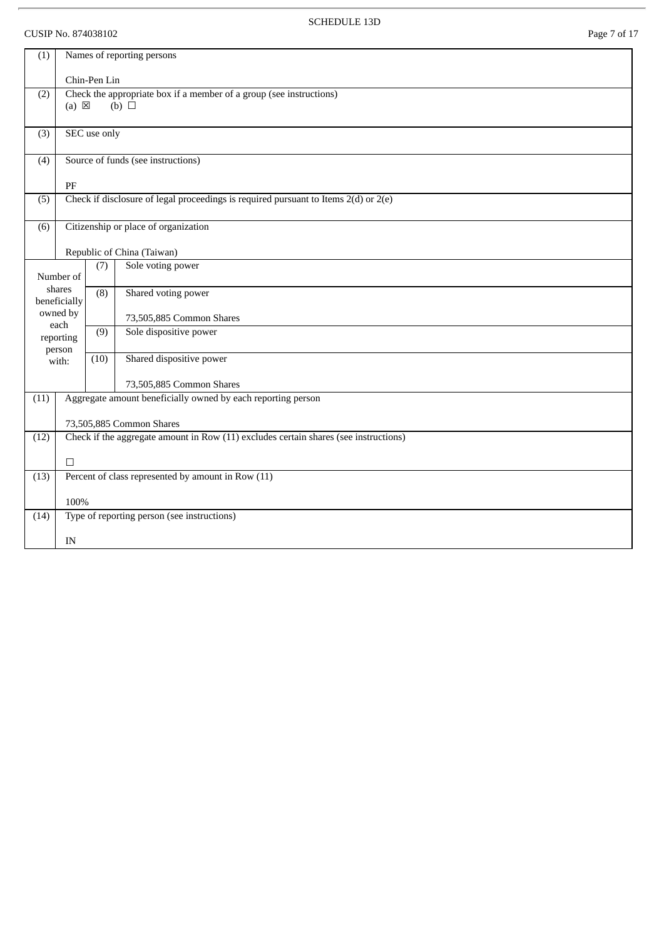# CUSIP No. 874038102 Page 7 of 17

l,

SCHEDULE 13D

| (1)  |                                                                                      |              | Names of reporting persons                                                              |  |
|------|--------------------------------------------------------------------------------------|--------------|-----------------------------------------------------------------------------------------|--|
|      |                                                                                      | Chin-Pen Lin |                                                                                         |  |
| (2)  | Check the appropriate box if a member of a group (see instructions)                  |              |                                                                                         |  |
|      | $(a) \boxtimes$                                                                      |              | $(b)$ $\square$                                                                         |  |
| (3)  |                                                                                      | SEC use only |                                                                                         |  |
| (4)  |                                                                                      |              | Source of funds (see instructions)                                                      |  |
|      | $\rm PF$                                                                             |              |                                                                                         |  |
| (5)  |                                                                                      |              | Check if disclosure of legal proceedings is required pursuant to Items $2(d)$ or $2(e)$ |  |
| (6)  |                                                                                      |              | Citizenship or place of organization                                                    |  |
|      |                                                                                      |              | Republic of China (Taiwan)                                                              |  |
|      | Number of                                                                            | (7)          | Sole voting power                                                                       |  |
|      | shares<br>beneficially                                                               | (8)          | Shared voting power                                                                     |  |
|      | owned by<br>each                                                                     |              | 73,505,885 Common Shares                                                                |  |
|      | reporting<br>person                                                                  | (9)          | Sole dispositive power                                                                  |  |
|      | with:                                                                                | (10)         | Shared dispositive power                                                                |  |
|      |                                                                                      |              | 73,505,885 Common Shares                                                                |  |
| (11) |                                                                                      |              | Aggregate amount beneficially owned by each reporting person                            |  |
|      |                                                                                      |              | 73,505,885 Common Shares                                                                |  |
| (12) | Check if the aggregate amount in Row (11) excludes certain shares (see instructions) |              |                                                                                         |  |
|      | П                                                                                    |              |                                                                                         |  |
| (13) |                                                                                      |              | Percent of class represented by amount in Row (11)                                      |  |
|      | 100%                                                                                 |              |                                                                                         |  |
| (14) |                                                                                      |              | Type of reporting person (see instructions)                                             |  |
|      | IN                                                                                   |              |                                                                                         |  |
|      |                                                                                      |              |                                                                                         |  |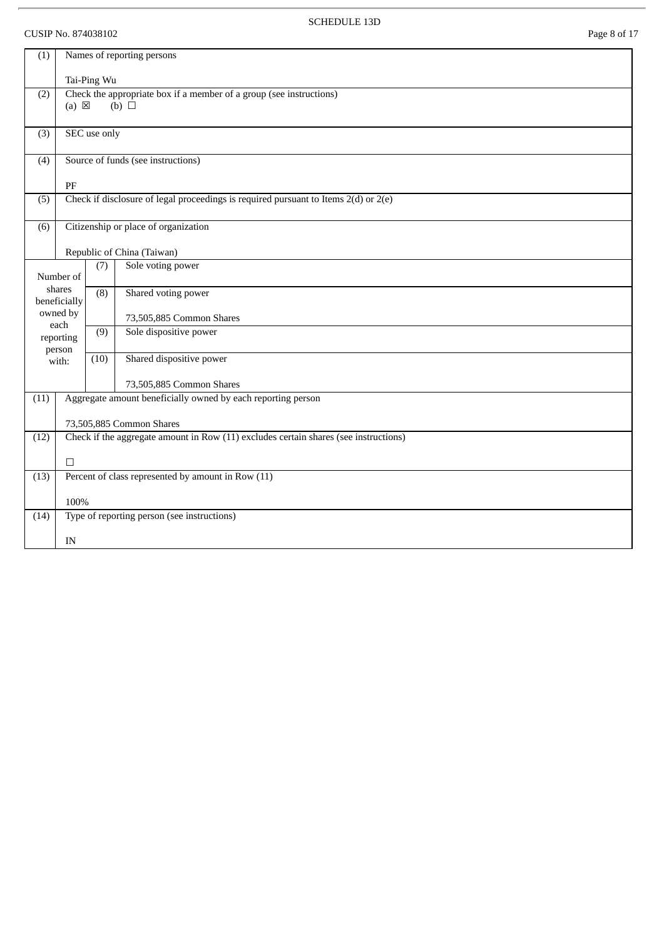# CUSIP No. 874038102 Page 8 of 17

l,

SCHEDULE 13D

| (1)                                                                                            | Names of reporting persons                                                                                |              |                                                                                         |  |  |  |
|------------------------------------------------------------------------------------------------|-----------------------------------------------------------------------------------------------------------|--------------|-----------------------------------------------------------------------------------------|--|--|--|
|                                                                                                |                                                                                                           | Tai-Ping Wu  |                                                                                         |  |  |  |
| (2)                                                                                            | Check the appropriate box if a member of a group (see instructions)<br>$(a) \boxtimes$<br>$(b)$ $\square$ |              |                                                                                         |  |  |  |
|                                                                                                |                                                                                                           |              |                                                                                         |  |  |  |
| (3)                                                                                            |                                                                                                           | SEC use only |                                                                                         |  |  |  |
| (4)                                                                                            |                                                                                                           |              | Source of funds (see instructions)                                                      |  |  |  |
|                                                                                                | $\rm PF$                                                                                                  |              |                                                                                         |  |  |  |
| (5)                                                                                            |                                                                                                           |              | Check if disclosure of legal proceedings is required pursuant to Items $2(d)$ or $2(e)$ |  |  |  |
| (6)                                                                                            |                                                                                                           |              | Citizenship or place of organization                                                    |  |  |  |
|                                                                                                |                                                                                                           |              | Republic of China (Taiwan)                                                              |  |  |  |
|                                                                                                | Number of                                                                                                 | (7)          | Sole voting power                                                                       |  |  |  |
|                                                                                                | shares<br>beneficially                                                                                    | (8)          | Shared voting power                                                                     |  |  |  |
|                                                                                                | owned by<br>each                                                                                          |              | 73,505,885 Common Shares                                                                |  |  |  |
|                                                                                                | reporting<br>person                                                                                       | (9)          | Sole dispositive power                                                                  |  |  |  |
|                                                                                                | with:                                                                                                     | (10)         | Shared dispositive power                                                                |  |  |  |
|                                                                                                |                                                                                                           |              | 73,505,885 Common Shares                                                                |  |  |  |
| (11)                                                                                           |                                                                                                           |              | Aggregate amount beneficially owned by each reporting person                            |  |  |  |
|                                                                                                |                                                                                                           |              | 73,505,885 Common Shares                                                                |  |  |  |
| Check if the aggregate amount in Row $(11)$ excludes certain shares (see instructions)<br>(12) |                                                                                                           |              |                                                                                         |  |  |  |
|                                                                                                | $\Box$                                                                                                    |              |                                                                                         |  |  |  |
| (13)                                                                                           |                                                                                                           |              | Percent of class represented by amount in Row (11)                                      |  |  |  |
|                                                                                                | 100%                                                                                                      |              |                                                                                         |  |  |  |
| (14)                                                                                           |                                                                                                           |              | Type of reporting person (see instructions)                                             |  |  |  |
|                                                                                                | IN                                                                                                        |              |                                                                                         |  |  |  |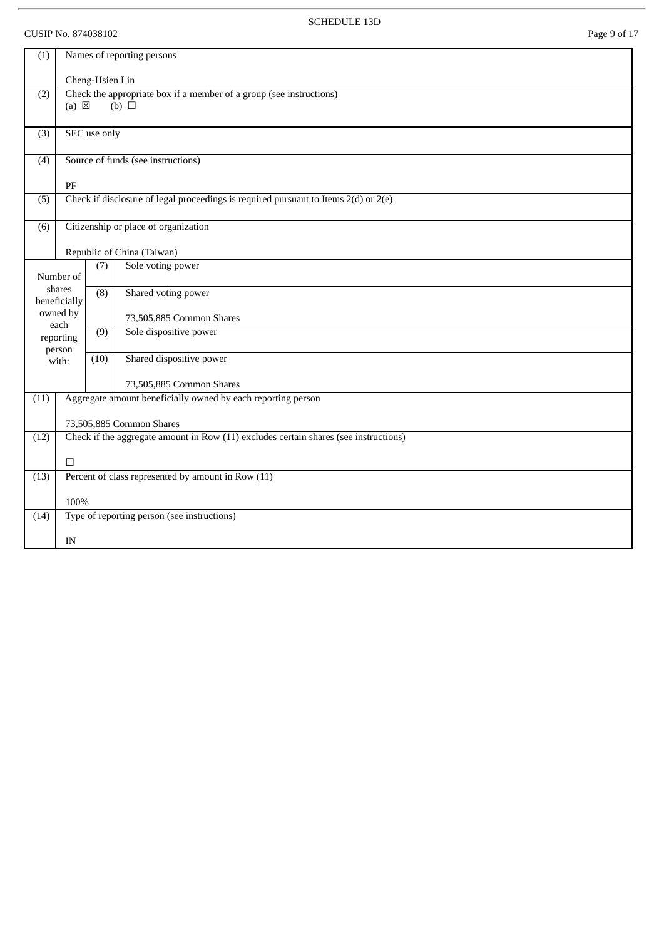# CUSIP No. 874038102 Page 9 of 17

l,

SCHEDULE 13D

| (1)                                                                                          | Names of reporting persons                                                                                |                  |                                                                                         |  |  |  |
|----------------------------------------------------------------------------------------------|-----------------------------------------------------------------------------------------------------------|------------------|-----------------------------------------------------------------------------------------|--|--|--|
|                                                                                              |                                                                                                           | Cheng-Hsien Lin  |                                                                                         |  |  |  |
| (2)                                                                                          | Check the appropriate box if a member of a group (see instructions)<br>$(a) \boxtimes$<br>$(b)$ $\square$ |                  |                                                                                         |  |  |  |
| (3)                                                                                          |                                                                                                           | SEC use only     |                                                                                         |  |  |  |
| (4)                                                                                          |                                                                                                           |                  | Source of funds (see instructions)                                                      |  |  |  |
|                                                                                              | PF                                                                                                        |                  |                                                                                         |  |  |  |
| (5)                                                                                          |                                                                                                           |                  | Check if disclosure of legal proceedings is required pursuant to Items $2(d)$ or $2(e)$ |  |  |  |
| (6)                                                                                          |                                                                                                           |                  | Citizenship or place of organization                                                    |  |  |  |
|                                                                                              |                                                                                                           |                  | Republic of China (Taiwan)                                                              |  |  |  |
|                                                                                              | Number of                                                                                                 | (7)              | Sole voting power                                                                       |  |  |  |
|                                                                                              | shares<br>beneficially                                                                                    | $\overline{(8)}$ | Shared voting power                                                                     |  |  |  |
|                                                                                              | owned by<br>each                                                                                          |                  | 73,505,885 Common Shares                                                                |  |  |  |
|                                                                                              | reporting<br>person                                                                                       | (9)              | Sole dispositive power                                                                  |  |  |  |
|                                                                                              | with:                                                                                                     | (10)             | Shared dispositive power                                                                |  |  |  |
|                                                                                              |                                                                                                           |                  | 73,505,885 Common Shares                                                                |  |  |  |
| (11)                                                                                         |                                                                                                           |                  | Aggregate amount beneficially owned by each reporting person                            |  |  |  |
|                                                                                              |                                                                                                           |                  | 73,505,885 Common Shares                                                                |  |  |  |
| Check if the aggregate amount in Row (11) excludes certain shares (see instructions)<br>(12) |                                                                                                           |                  |                                                                                         |  |  |  |
|                                                                                              | П                                                                                                         |                  |                                                                                         |  |  |  |
| (13)                                                                                         |                                                                                                           |                  | Percent of class represented by amount in Row (11)                                      |  |  |  |
|                                                                                              | 100%                                                                                                      |                  |                                                                                         |  |  |  |
| (14)                                                                                         |                                                                                                           |                  | Type of reporting person (see instructions)                                             |  |  |  |
|                                                                                              | IN                                                                                                        |                  |                                                                                         |  |  |  |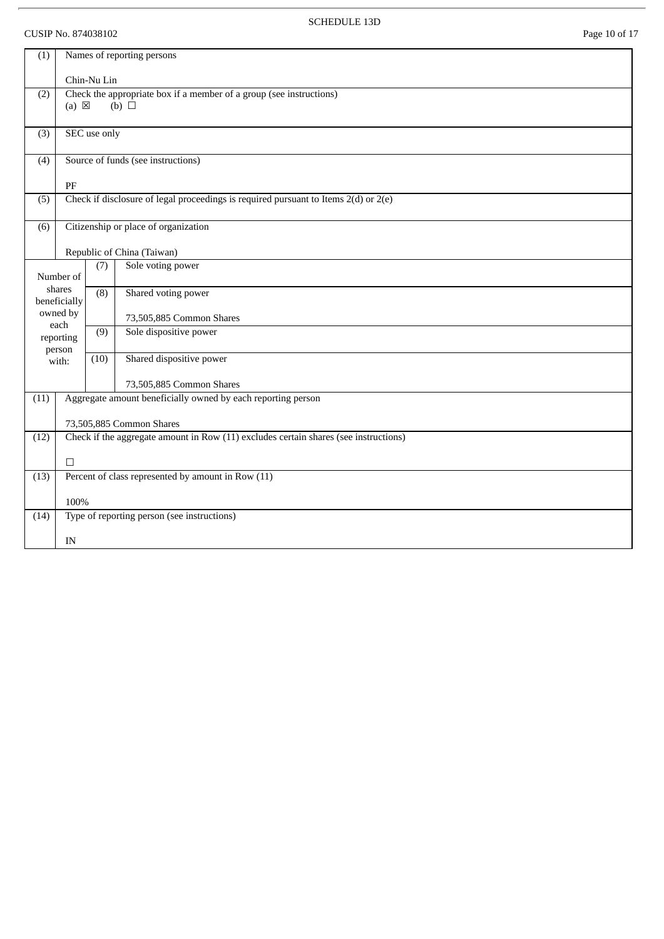# CUSIP No. 874038102 Page 10 of 17

 $\overline{r}$ 

SCHEDULE 13D

| (1)  | Names of reporting persons                                                                                |                  |                                                                                         |  |  |  |
|------|-----------------------------------------------------------------------------------------------------------|------------------|-----------------------------------------------------------------------------------------|--|--|--|
|      |                                                                                                           | Chin-Nu Lin      |                                                                                         |  |  |  |
| (2)  | Check the appropriate box if a member of a group (see instructions)<br>$(a) \boxtimes$<br>$(b)$ $\square$ |                  |                                                                                         |  |  |  |
| (3)  |                                                                                                           | SEC use only     |                                                                                         |  |  |  |
| (4)  |                                                                                                           |                  | Source of funds (see instructions)                                                      |  |  |  |
|      | PF                                                                                                        |                  |                                                                                         |  |  |  |
| (5)  |                                                                                                           |                  | Check if disclosure of legal proceedings is required pursuant to Items $2(d)$ or $2(e)$ |  |  |  |
| (6)  |                                                                                                           |                  | Citizenship or place of organization                                                    |  |  |  |
|      |                                                                                                           |                  | Republic of China (Taiwan)                                                              |  |  |  |
|      | Number of                                                                                                 | (7)              | Sole voting power                                                                       |  |  |  |
|      | shares<br>beneficially                                                                                    | $\overline{(8)}$ | Shared voting power                                                                     |  |  |  |
|      | owned by<br>each                                                                                          |                  | 73,505,885 Common Shares                                                                |  |  |  |
|      | reporting<br>person                                                                                       | (9)              | Sole dispositive power                                                                  |  |  |  |
|      | with:                                                                                                     | (10)             | Shared dispositive power                                                                |  |  |  |
|      |                                                                                                           |                  | 73,505,885 Common Shares                                                                |  |  |  |
| (11) |                                                                                                           |                  | Aggregate amount beneficially owned by each reporting person                            |  |  |  |
|      | 73,505,885 Common Shares                                                                                  |                  |                                                                                         |  |  |  |
| (12) |                                                                                                           |                  | Check if the aggregate amount in Row (11) excludes certain shares (see instructions)    |  |  |  |
|      | $\Box$                                                                                                    |                  |                                                                                         |  |  |  |
| (13) | Percent of class represented by amount in Row (11)                                                        |                  |                                                                                         |  |  |  |
|      | 100%                                                                                                      |                  |                                                                                         |  |  |  |
| (14) |                                                                                                           |                  | Type of reporting person (see instructions)                                             |  |  |  |
|      | IN                                                                                                        |                  |                                                                                         |  |  |  |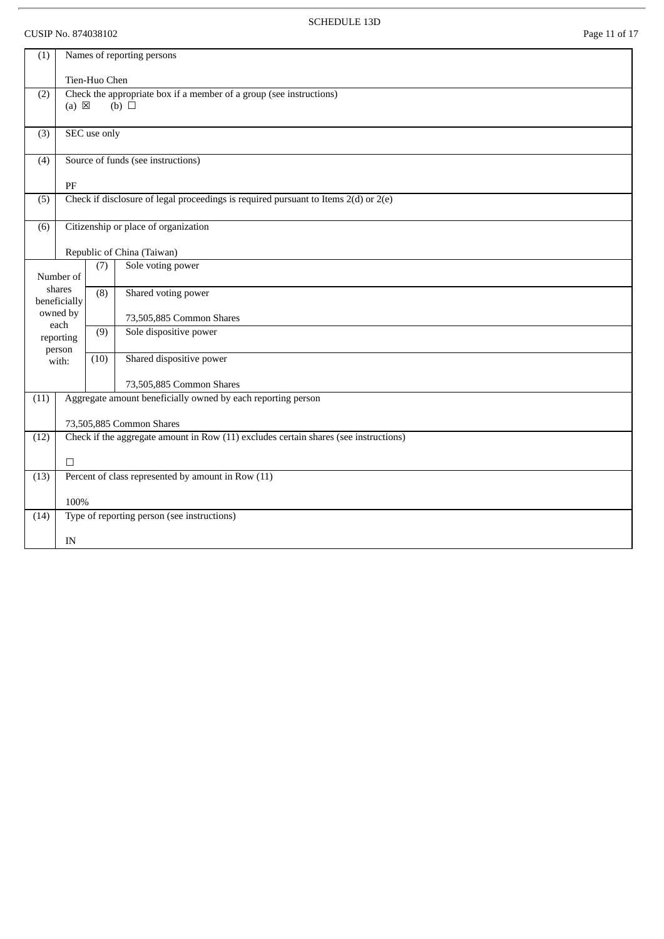# CUSIP No. 874038102 Page 11 of 17

 $\overline{r}$ 

SCHEDULE 13D

| (1)                                                                                          |                        |                  | Names of reporting persons                                                              |
|----------------------------------------------------------------------------------------------|------------------------|------------------|-----------------------------------------------------------------------------------------|
|                                                                                              |                        | Tien-Huo Chen    |                                                                                         |
| (2)                                                                                          | $(a) \boxtimes$        |                  | Check the appropriate box if a member of a group (see instructions)<br>$(b)$ $\square$  |
|                                                                                              |                        |                  |                                                                                         |
| (3)                                                                                          |                        | SEC use only     |                                                                                         |
| (4)                                                                                          |                        |                  | Source of funds (see instructions)                                                      |
|                                                                                              | PF                     |                  |                                                                                         |
| (5)                                                                                          |                        |                  | Check if disclosure of legal proceedings is required pursuant to Items $2(d)$ or $2(e)$ |
| (6)                                                                                          |                        |                  | Citizenship or place of organization                                                    |
|                                                                                              |                        |                  | Republic of China (Taiwan)                                                              |
|                                                                                              | Number of              | (7)              | Sole voting power                                                                       |
|                                                                                              | shares<br>beneficially | $\overline{(8)}$ | Shared voting power                                                                     |
|                                                                                              | owned by<br>each       |                  | 73,505,885 Common Shares                                                                |
|                                                                                              | reporting<br>person    | (9)              | Sole dispositive power                                                                  |
|                                                                                              | with:                  | (10)             | Shared dispositive power                                                                |
|                                                                                              |                        |                  | 73,505,885 Common Shares                                                                |
| (11)                                                                                         |                        |                  | Aggregate amount beneficially owned by each reporting person                            |
|                                                                                              |                        |                  | 73,505,885 Common Shares                                                                |
| Check if the aggregate amount in Row (11) excludes certain shares (see instructions)<br>(12) |                        |                  |                                                                                         |
|                                                                                              | $\Box$                 |                  |                                                                                         |
| (13)                                                                                         |                        |                  | Percent of class represented by amount in Row (11)                                      |
| 100%                                                                                         |                        |                  |                                                                                         |
| (14)                                                                                         |                        |                  | Type of reporting person (see instructions)                                             |
|                                                                                              | IN                     |                  |                                                                                         |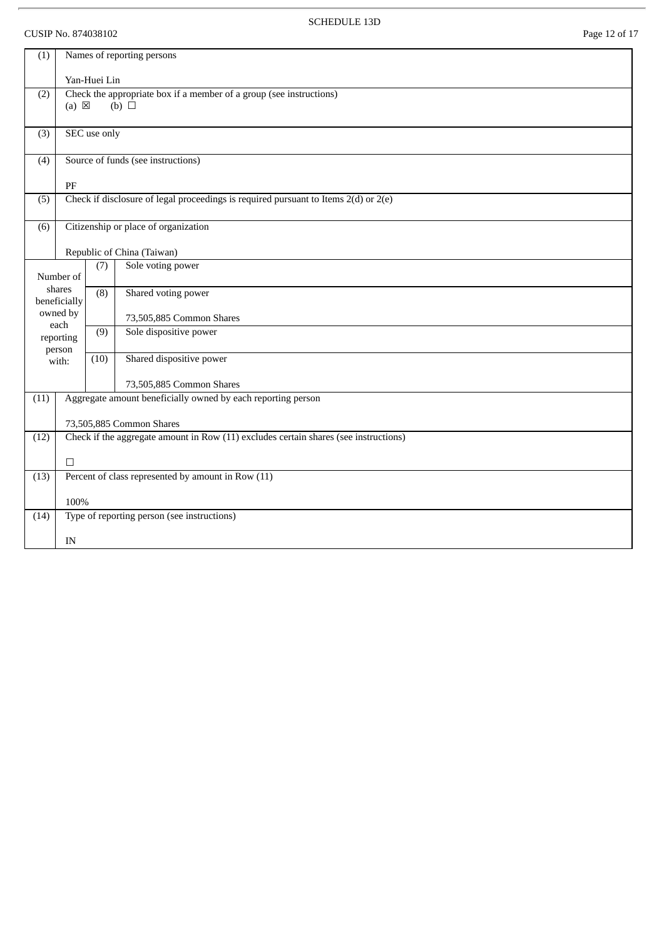# CUSIP No. 874038102 Page 12 of 17

ł.

SCHEDULE 13D

| (1)  | Names of reporting persons                                                                                |              |                                                                                         |  |  |  |
|------|-----------------------------------------------------------------------------------------------------------|--------------|-----------------------------------------------------------------------------------------|--|--|--|
|      |                                                                                                           | Yan-Huei Lin |                                                                                         |  |  |  |
| (2)  | Check the appropriate box if a member of a group (see instructions)<br>$(a) \boxtimes$<br>$(b)$ $\square$ |              |                                                                                         |  |  |  |
| (3)  |                                                                                                           | SEC use only |                                                                                         |  |  |  |
| (4)  |                                                                                                           |              | Source of funds (see instructions)                                                      |  |  |  |
|      | PF                                                                                                        |              |                                                                                         |  |  |  |
| (5)  |                                                                                                           |              | Check if disclosure of legal proceedings is required pursuant to Items $2(d)$ or $2(e)$ |  |  |  |
| (6)  |                                                                                                           |              | Citizenship or place of organization                                                    |  |  |  |
|      |                                                                                                           |              | Republic of China (Taiwan)                                                              |  |  |  |
|      | Number of                                                                                                 | (7)          | Sole voting power                                                                       |  |  |  |
|      | shares<br>beneficially                                                                                    | (8)          | Shared voting power                                                                     |  |  |  |
|      | owned by                                                                                                  |              | 73,505,885 Common Shares                                                                |  |  |  |
|      | each<br>reporting<br>person                                                                               | (9)          | Sole dispositive power                                                                  |  |  |  |
|      | with:                                                                                                     | (10)         | Shared dispositive power                                                                |  |  |  |
|      |                                                                                                           |              | 73,505,885 Common Shares                                                                |  |  |  |
| (11) |                                                                                                           |              | Aggregate amount beneficially owned by each reporting person                            |  |  |  |
|      |                                                                                                           |              | 73,505,885 Common Shares                                                                |  |  |  |
| (12) |                                                                                                           |              | Check if the aggregate amount in Row (11) excludes certain shares (see instructions)    |  |  |  |
|      | $\Box$                                                                                                    |              |                                                                                         |  |  |  |
| (13) |                                                                                                           |              | Percent of class represented by amount in Row (11)                                      |  |  |  |
|      |                                                                                                           |              |                                                                                         |  |  |  |
| (14) |                                                                                                           |              | Type of reporting person (see instructions)                                             |  |  |  |
|      | IN                                                                                                        |              |                                                                                         |  |  |  |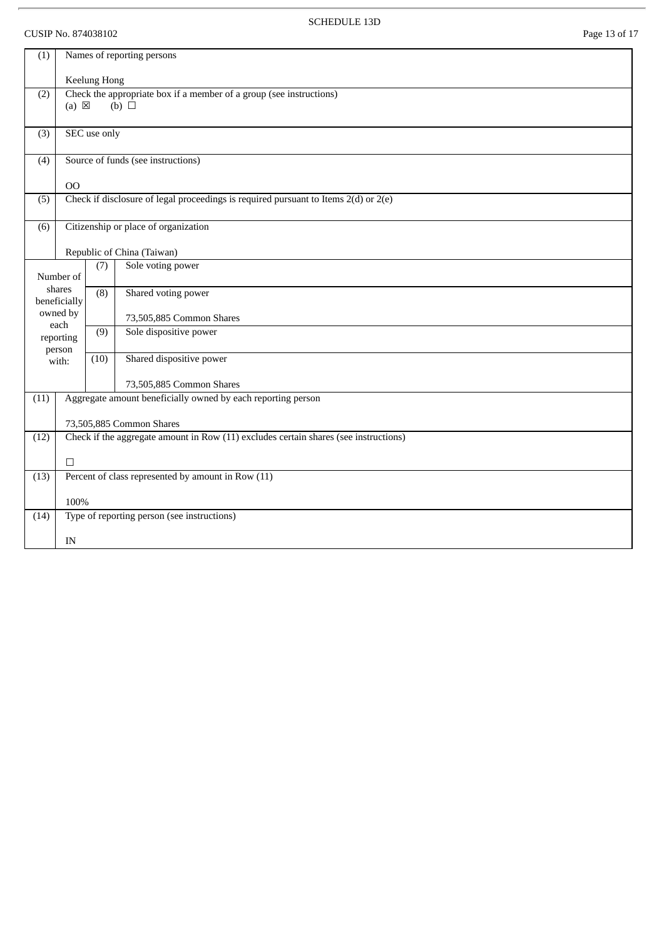# CUSIP No. 874038102 Page 13 of 17

l,

SCHEDULE 13D

| Names of reporting persons<br>(1) |                                                                                                           |              |                                                                                         |  |  |  |
|-----------------------------------|-----------------------------------------------------------------------------------------------------------|--------------|-----------------------------------------------------------------------------------------|--|--|--|
|                                   |                                                                                                           | Keelung Hong |                                                                                         |  |  |  |
| (2)                               | Check the appropriate box if a member of a group (see instructions)<br>$(a) \boxtimes$<br>$(b)$ $\square$ |              |                                                                                         |  |  |  |
| (3)                               |                                                                                                           | SEC use only |                                                                                         |  |  |  |
| (4)                               |                                                                                                           |              | Source of funds (see instructions)                                                      |  |  |  |
|                                   | O <sub>O</sub>                                                                                            |              |                                                                                         |  |  |  |
| (5)                               |                                                                                                           |              | Check if disclosure of legal proceedings is required pursuant to Items $2(d)$ or $2(e)$ |  |  |  |
| (6)                               |                                                                                                           |              | Citizenship or place of organization                                                    |  |  |  |
|                                   |                                                                                                           |              | Republic of China (Taiwan)                                                              |  |  |  |
|                                   | Number of                                                                                                 | (7)          | Sole voting power                                                                       |  |  |  |
|                                   | shares<br>beneficially                                                                                    | (8)          | Shared voting power                                                                     |  |  |  |
|                                   | owned by<br>each                                                                                          |              | 73,505,885 Common Shares                                                                |  |  |  |
|                                   | reporting<br>person                                                                                       | (9)          | Sole dispositive power                                                                  |  |  |  |
|                                   | with:                                                                                                     | (10)         | Shared dispositive power                                                                |  |  |  |
|                                   |                                                                                                           |              | 73,505,885 Common Shares                                                                |  |  |  |
| (11)                              |                                                                                                           |              | Aggregate amount beneficially owned by each reporting person                            |  |  |  |
|                                   |                                                                                                           |              | 73,505,885 Common Shares                                                                |  |  |  |
| (12)                              |                                                                                                           |              | Check if the aggregate amount in Row (11) excludes certain shares (see instructions)    |  |  |  |
|                                   | $\Box$                                                                                                    |              |                                                                                         |  |  |  |
| (13)                              |                                                                                                           |              | Percent of class represented by amount in Row (11)                                      |  |  |  |
|                                   |                                                                                                           |              |                                                                                         |  |  |  |
| (14)                              | 100%                                                                                                      |              | Type of reporting person (see instructions)                                             |  |  |  |
|                                   | IN                                                                                                        |              |                                                                                         |  |  |  |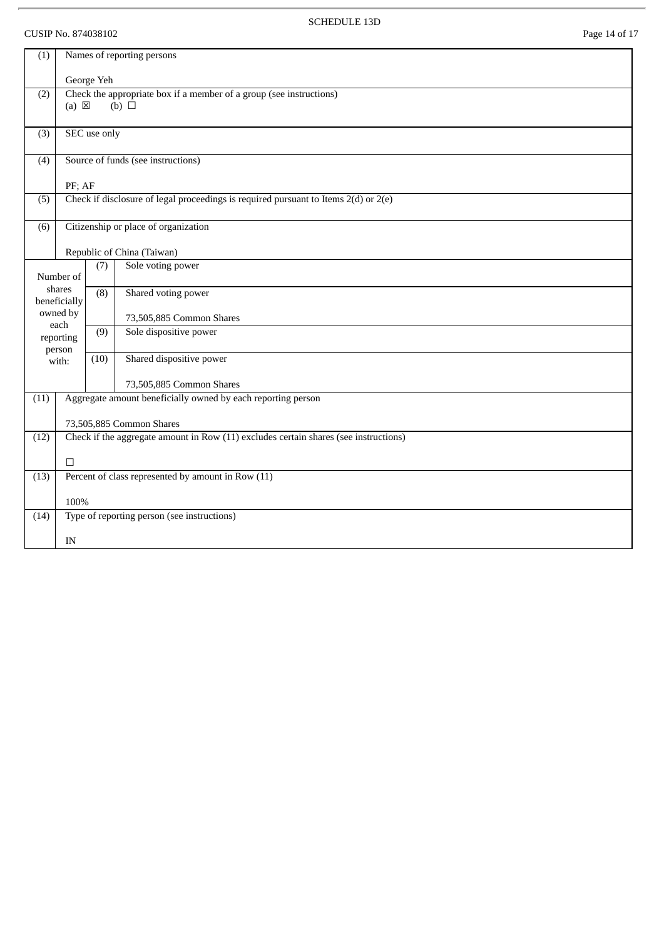# CUSIP No. 874038102 Page 14 of 17

 $\overline{r}$ 

SCHEDULE 13D

| (1)                    | Names of reporting persons                                                              |                                             |                                                                     |  |  |  |
|------------------------|-----------------------------------------------------------------------------------------|---------------------------------------------|---------------------------------------------------------------------|--|--|--|
|                        | George Yeh                                                                              |                                             |                                                                     |  |  |  |
| (2)                    |                                                                                         |                                             | Check the appropriate box if a member of a group (see instructions) |  |  |  |
|                        | $(a) \boxtimes$                                                                         |                                             | $(b)$ $\square$                                                     |  |  |  |
| (3)                    | SEC use only                                                                            |                                             |                                                                     |  |  |  |
| (4)                    | Source of funds (see instructions)                                                      |                                             |                                                                     |  |  |  |
|                        |                                                                                         |                                             |                                                                     |  |  |  |
| (5)                    | Check if disclosure of legal proceedings is required pursuant to Items $2(d)$ or $2(e)$ |                                             |                                                                     |  |  |  |
| (6)                    | Citizenship or place of organization                                                    |                                             |                                                                     |  |  |  |
|                        | Republic of China (Taiwan)                                                              |                                             |                                                                     |  |  |  |
|                        | Number of                                                                               | (7)                                         | Sole voting power                                                   |  |  |  |
| shares<br>beneficially |                                                                                         | (8)                                         | Shared voting power                                                 |  |  |  |
| owned by               |                                                                                         |                                             | 73,505,885 Common Shares                                            |  |  |  |
| each<br>reporting      |                                                                                         | (9)                                         | Sole dispositive power                                              |  |  |  |
| person<br>with:        |                                                                                         | (10)                                        | Shared dispositive power                                            |  |  |  |
|                        |                                                                                         |                                             | 73,505,885 Common Shares                                            |  |  |  |
| (11)                   | Aggregate amount beneficially owned by each reporting person                            |                                             |                                                                     |  |  |  |
|                        | 73,505,885 Common Shares                                                                |                                             |                                                                     |  |  |  |
| (12)                   | Check if the aggregate amount in Row (11) excludes certain shares (see instructions)    |                                             |                                                                     |  |  |  |
|                        | П                                                                                       |                                             |                                                                     |  |  |  |
| (13)                   |                                                                                         |                                             | Percent of class represented by amount in Row (11)                  |  |  |  |
|                        | 100%                                                                                    |                                             |                                                                     |  |  |  |
| (14)                   |                                                                                         | Type of reporting person (see instructions) |                                                                     |  |  |  |
|                        | IN                                                                                      |                                             |                                                                     |  |  |  |
|                        |                                                                                         |                                             |                                                                     |  |  |  |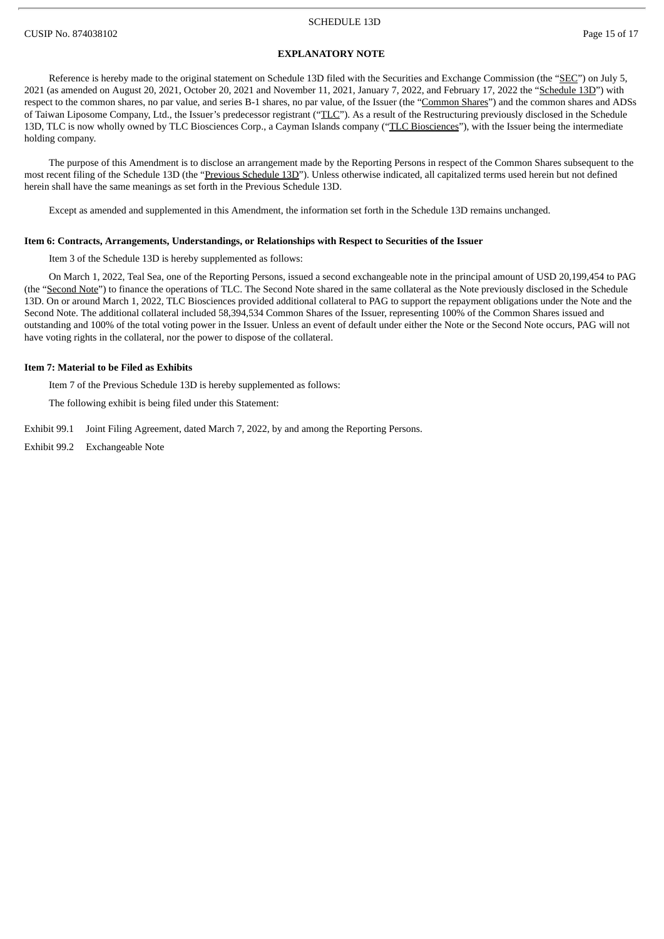#### CUSIP No. 874038102 Page 15 of 17

### **EXPLANATORY NOTE**

Reference is hereby made to the original statement on Schedule 13D filed with the Securities and Exchange Commission (the "SEC") on July 5, 2021 (as amended on August 20, 2021, October 20, 2021 and November 11, 2021, January 7, 2022, and February 17, 2022 the "Schedule 13D") with respect to the common shares, no par value, and series B-1 shares, no par value, of the Issuer (the "Common Shares") and the common shares and ADSs of Taiwan Liposome Company, Ltd., the Issuer's predecessor registrant ("TLC"). As a result of the Restructuring previously disclosed in the Schedule 13D, TLC is now wholly owned by TLC Biosciences Corp., a Cayman Islands company ("TLC Biosciences"), with the Issuer being the intermediate holding company.

The purpose of this Amendment is to disclose an arrangement made by the Reporting Persons in respect of the Common Shares subsequent to the most recent filing of the Schedule 13D (the "Previous Schedule 13D"). Unless otherwise indicated, all capitalized terms used herein but not defined herein shall have the same meanings as set forth in the Previous Schedule 13D.

Except as amended and supplemented in this Amendment, the information set forth in the Schedule 13D remains unchanged.

#### **Item 6: Contracts, Arrangements, Understandings, or Relationships with Respect to Securities of the Issuer**

Item 3 of the Schedule 13D is hereby supplemented as follows:

On March 1, 2022, Teal Sea, one of the Reporting Persons, issued a second exchangeable note in the principal amount of USD 20,199,454 to PAG (the "Second Note") to finance the operations of TLC. The Second Note shared in the same collateral as the Note previously disclosed in the Schedule 13D. On or around March 1, 2022, TLC Biosciences provided additional collateral to PAG to support the repayment obligations under the Note and the Second Note. The additional collateral included 58,394,534 Common Shares of the Issuer, representing 100% of the Common Shares issued and outstanding and 100% of the total voting power in the Issuer. Unless an event of default under either the Note or the Second Note occurs, PAG will not have voting rights in the collateral, nor the power to dispose of the collateral.

#### **Item 7: Material to be Filed as Exhibits**

Item 7 of the Previous Schedule 13D is hereby supplemented as follows:

The following exhibit is being filed under this Statement:

Exhibit 99.1 Joint Filing Agreement, dated March 7, 2022, by and among the Reporting Persons.

Exhibit 99.2 Exchangeable Note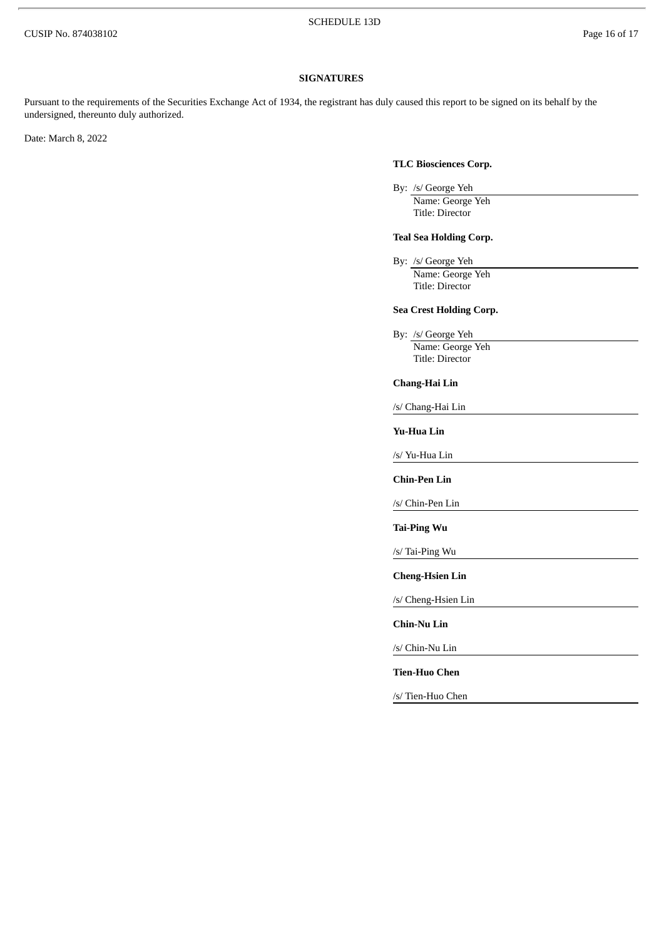## **SIGNATURES**

Pursuant to the requirements of the Securities Exchange Act of 1934, the registrant has duly caused this report to be signed on its behalf by the undersigned, thereunto duly authorized.

Date: March 8, 2022

## **TLC Biosciences Corp.**

By: /s/ George Yeh Name: George Yeh Title: Director

## **Teal Sea Holding Corp.**

By: /s/ George Yeh Name: George Yeh Title: Director

## **Sea Crest Holding Corp.**

By: /s/ George Yeh Name: George Yeh Title: Director

## **Chang-Hai Lin**

/s/ Chang-Hai Lin

#### **Yu-Hua Lin**

/s/ Yu-Hua Lin

**Chin-Pen Lin**

/s/ Chin-Pen Lin

**Tai-Ping Wu**

/s/ Tai-Ping Wu

**Cheng-Hsien Lin**

/s/ Cheng-Hsien Lin

**Chin-Nu Lin**

/s/ Chin-Nu Lin

#### **Tien-Huo Chen**

/s/ Tien-Huo Chen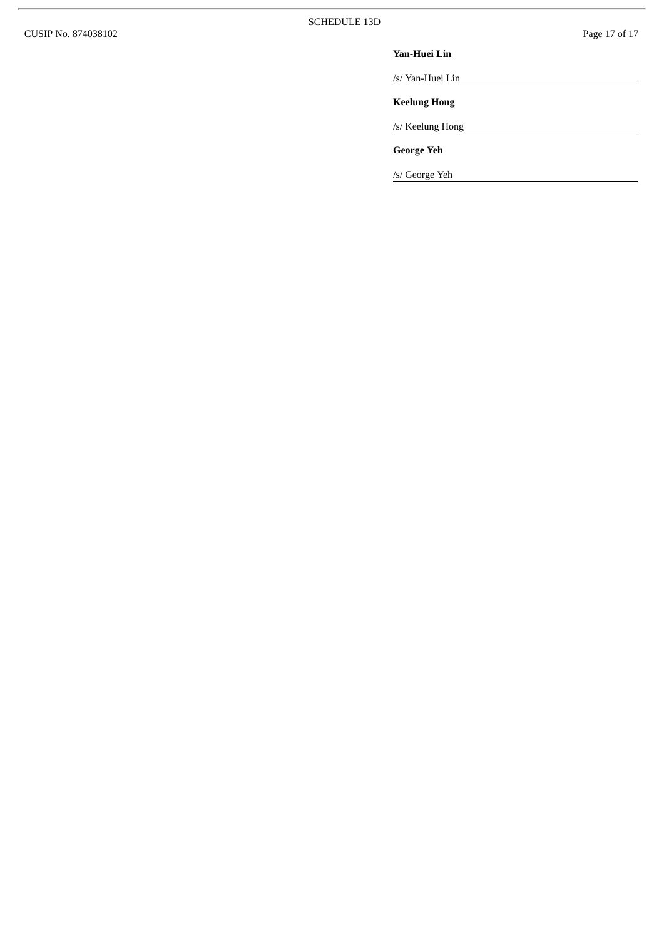$\overline{\phantom{a}}$ 

#### **Ya n - H u e i L i n**

/s/ Yan-Huei Lin

**Keelung Hong** 

/s/ Keelung Hong

**G e o r g e Ye h**

/s/ George Yeh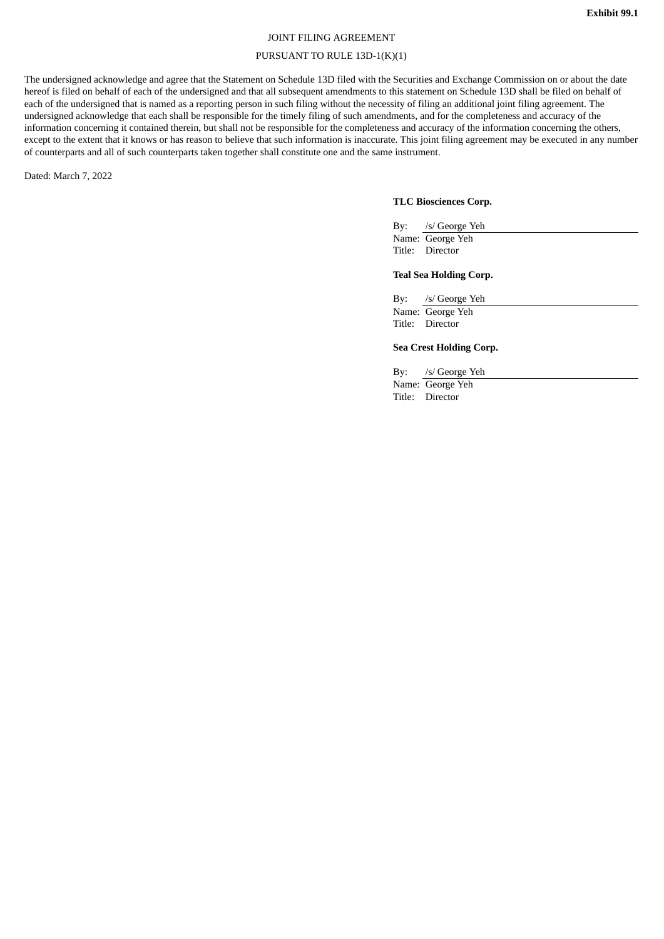## JOINT FILING AGREEMENT

### PURSUANT TO RULE 13D-1(K)(1)

The undersigned acknowledge and agree that the Statement on Schedule 13D filed with the Securities and Exchange Commission on or about the date hereof is filed on behalf of each of the undersigned and that all subsequent amendments to this statement on Schedule 13D shall be filed on behalf of each of the undersigned that is named as a reporting person in such filing without the necessity of filing an additional joint filing agreement. The undersigned acknowledge that each shall be responsible for the timely filing of such amendments, and for the completeness and accuracy of the information concerning it contained therein, but shall not be responsible for the completeness and accuracy of the information concerning the others, except to the extent that it knows or has reason to believe that such information is inaccurate. This joint filing agreement may be executed in any number of counterparts and all of such counterparts taken together shall constitute one and the same instrument.

Dated: March 7, 2022

## **TLC Biosciences Corp.**

| By: /s/ George Yeh |
|--------------------|
| Name: George Yeh   |
| Title: Director    |

## **Teal Sea Holding Corp.**

By: /s/ George Yeh Name: George Yeh Title: Director

## **Sea Crest Holding Corp.**

By: /s/ George Yeh

Name: George Yeh Title: Director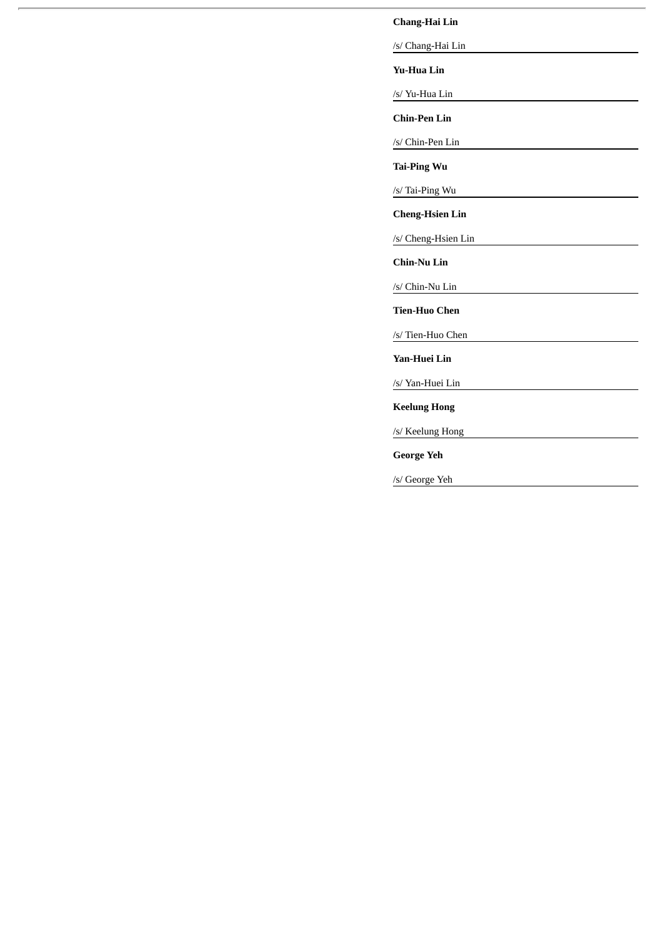# **Chang-Hai Lin**

/s/ Chang-Hai Lin

**Yu-Hua Lin**

/s/ Yu-Hua Lin

**Chin-Pen Lin**

/s/ Chin-Pen Lin

**Tai-Ping Wu**

/s/ Tai-Ping Wu

**Cheng-Hsien Lin**

/s/ Cheng-Hsien Lin

**Chin-Nu Lin**

/s/ Chin-Nu Lin

**Tien-Huo Chen**

/s/ Tien-Huo Chen

**Yan-Huei Lin**

/s/ Yan-Huei Lin

**Keelung Hong**

/s/ Keelung Hong

**George Yeh**

/s/ George Yeh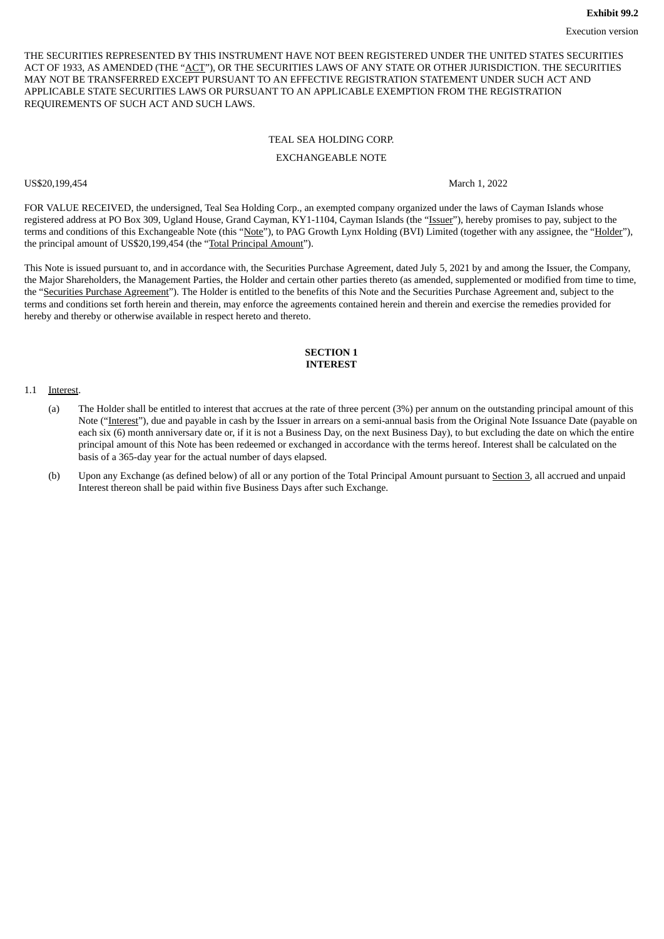THE SECURITIES REPRESENTED BY THIS INSTRUMENT HAVE NOT BEEN REGISTERED UNDER THE UNITED STATES SECURITIES ACT OF 1933, AS AMENDED (THE "ACT"), OR THE SECURITIES LAWS OF ANY STATE OR OTHER JURISDICTION. THE SECURITIES MAY NOT BE TRANSFERRED EXCEPT PURSUANT TO AN EFFECTIVE REGISTRATION STATEMENT UNDER SUCH ACT AND APPLICABLE STATE SECURITIES LAWS OR PURSUANT TO AN APPLICABLE EXEMPTION FROM THE REGISTRATION REQUIREMENTS OF SUCH ACT AND SUCH LAWS.

## TEAL SEA HOLDING CORP. EXCHANGEABLE NOTE

US\$20,199,454 March 1, 2022

FOR VALUE RECEIVED, the undersigned, Teal Sea Holding Corp., an exempted company organized under the laws of Cayman Islands whose registered address at PO Box 309, Ugland House, Grand Cayman, KY1-1104, Cayman Islands (the "Issuer"), hereby promises to pay, subject to the terms and conditions of this Exchangeable Note (this "Note"), to PAG Growth Lynx Holding (BVI) Limited (together with any assignee, the "Holder"), the principal amount of US\$20,199,454 (the "Total Principal Amount").

This Note is issued pursuant to, and in accordance with, the Securities Purchase Agreement, dated July 5, 2021 by and among the Issuer, the Company, the Major Shareholders, the Management Parties, the Holder and certain other parties thereto (as amended, supplemented or modified from time to time, the "Securities Purchase Agreement"). The Holder is entitled to the benefits of this Note and the Securities Purchase Agreement and, subject to the terms and conditions set forth herein and therein, may enforce the agreements contained herein and therein and exercise the remedies provided for hereby and thereby or otherwise available in respect hereto and thereto.

## **SECTION 1 INTEREST**

#### 1.1 Interest.

- (a) The Holder shall be entitled to interest that accrues at the rate of three percent (3%) per annum on the outstanding principal amount of this Note ("Interest"), due and payable in cash by the Issuer in arrears on a semi-annual basis from the Original Note Issuance Date (payable on each six (6) month anniversary date or, if it is not a Business Day, on the next Business Day), to but excluding the date on which the entire principal amount of this Note has been redeemed or exchanged in accordance with the terms hereof. Interest shall be calculated on the basis of a 365-day year for the actual number of days elapsed.
- (b) Upon any Exchange (as defined below) of all or any portion of the Total Principal Amount pursuant to Section 3, all accrued and unpaid Interest thereon shall be paid within five Business Days after such Exchange.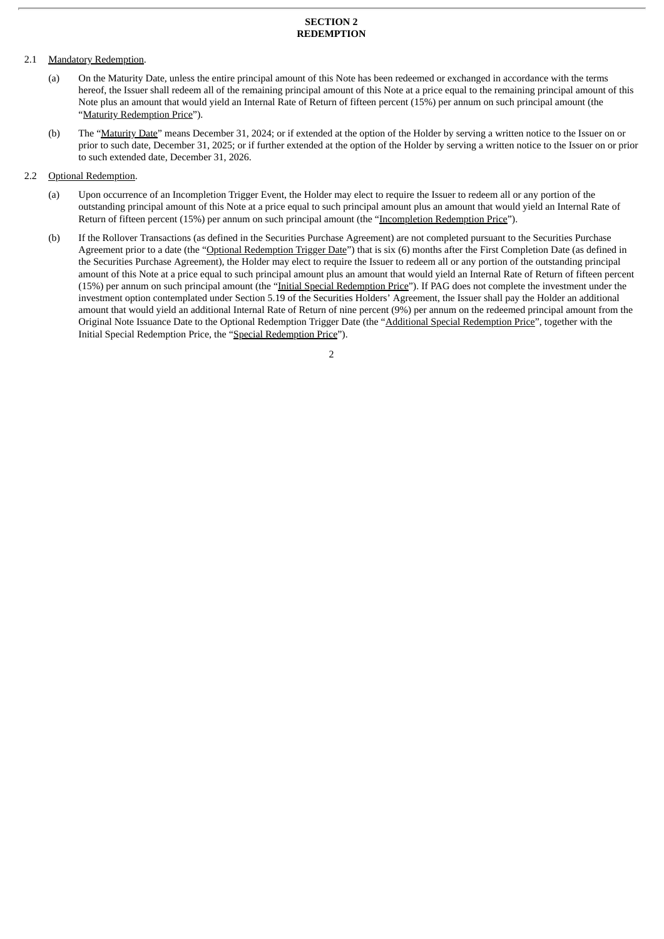#### **SECTION 2 REDEMPTION**

## 2.1 Mandatory Redemption.

- (a) On the Maturity Date, unless the entire principal amount of this Note has been redeemed or exchanged in accordance with the terms hereof, the Issuer shall redeem all of the remaining principal amount of this Note at a price equal to the remaining principal amount of this Note plus an amount that would yield an Internal Rate of Return of fifteen percent (15%) per annum on such principal amount (the "Maturity Redemption Price").
- (b) The "Maturity Date" means December 31, 2024; or if extended at the option of the Holder by serving a written notice to the Issuer on or prior to such date, December 31, 2025; or if further extended at the option of the Holder by serving a written notice to the Issuer on or prior to such extended date, December 31, 2026.

## 2.2 **Optional Redemption.**

- (a) Upon occurrence of an Incompletion Trigger Event, the Holder may elect to require the Issuer to redeem all or any portion of the outstanding principal amount of this Note at a price equal to such principal amount plus an amount that would yield an Internal Rate of Return of fifteen percent (15%) per annum on such principal amount (the "Incompletion Redemption Price").
- (b) If the Rollover Transactions (as defined in the Securities Purchase Agreement) are not completed pursuant to the Securities Purchase Agreement prior to a date (the "Optional Redemption Trigger Date") that is six (6) months after the First Completion Date (as defined in the Securities Purchase Agreement), the Holder may elect to require the Issuer to redeem all or any portion of the outstanding principal amount of this Note at a price equal to such principal amount plus an amount that would yield an Internal Rate of Return of fifteen percent (15%) per annum on such principal amount (the "Initial Special Redemption Price"). If PAG does not complete the investment under the investment option contemplated under Section 5.19 of the Securities Holders' Agreement, the Issuer shall pay the Holder an additional amount that would yield an additional Internal Rate of Return of nine percent (9%) per annum on the redeemed principal amount from the Original Note Issuance Date to the Optional Redemption Trigger Date (the "Additional Special Redemption Price", together with the Initial Special Redemption Price, the "Special Redemption Price").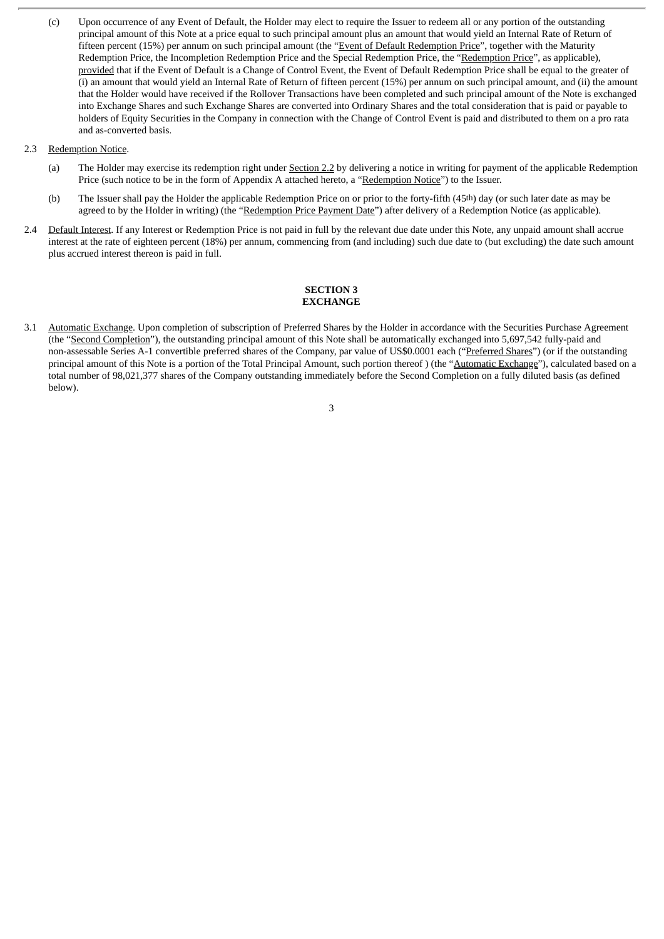- (c) Upon occurrence of any Event of Default, the Holder may elect to require the Issuer to redeem all or any portion of the outstanding principal amount of this Note at a price equal to such principal amount plus an amount that would yield an Internal Rate of Return of fifteen percent (15%) per annum on such principal amount (the "Event of Default Redemption Price", together with the Maturity Redemption Price, the Incompletion Redemption Price and the Special Redemption Price, the "Redemption Price", as applicable), provided that if the Event of Default is a Change of Control Event, the Event of Default Redemption Price shall be equal to the greater of (i) an amount that would yield an Internal Rate of Return of fifteen percent (15%) per annum on such principal amount, and (ii) the amount that the Holder would have received if the Rollover Transactions have been completed and such principal amount of the Note is exchanged into Exchange Shares and such Exchange Shares are converted into Ordinary Shares and the total consideration that is paid or payable to holders of Equity Securities in the Company in connection with the Change of Control Event is paid and distributed to them on a pro rata and as-converted basis.
- 2.3 Redemption Notice.
	- (a) The Holder may exercise its redemption right under Section 2.2 by delivering a notice in writing for payment of the applicable Redemption Price (such notice to be in the form of Appendix A attached hereto, a "Redemption Notice") to the Issuer.
	- (b) The Issuer shall pay the Holder the applicable Redemption Price on or prior to the forty-fifth (45th) day (or such later date as may be agreed to by the Holder in writing) (the "Redemption Price Payment Date") after delivery of a Redemption Notice (as applicable).
- 2.4 Default Interest. If any Interest or Redemption Price is not paid in full by the relevant due date under this Note, any unpaid amount shall accrue interest at the rate of eighteen percent (18%) per annum, commencing from (and including) such due date to (but excluding) the date such amount plus accrued interest thereon is paid in full.

## **SECTION 3 EXCHANGE**

3.1 Automatic Exchange. Upon completion of subscription of Preferred Shares by the Holder in accordance with the Securities Purchase Agreement (the "Second Completion"), the outstanding principal amount of this Note shall be automatically exchanged into 5,697,542 fully-paid and non-assessable Series A-1 convertible preferred shares of the Company, par value of US\$0.0001 each ("Preferred Shares") (or if the outstanding principal amount of this Note is a portion of the Total Principal Amount, such portion thereof) (the "Automatic Exchange"), calculated based on a total number of 98,021,377 shares of the Company outstanding immediately before the Second Completion on a fully diluted basis (as defined below).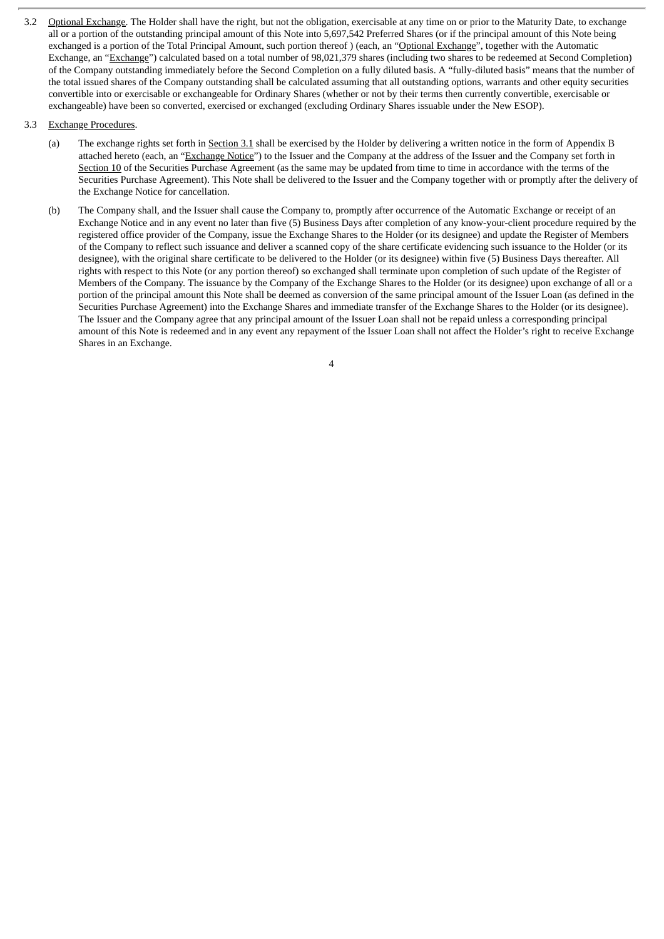3.2 Optional Exchange. The Holder shall have the right, but not the obligation, exercisable at any time on or prior to the Maturity Date, to exchange all or a portion of the outstanding principal amount of this Note into 5,697,542 Preferred Shares (or if the principal amount of this Note being exchanged is a portion of the Total Principal Amount, such portion thereof ) (each, an "Optional Exchange", together with the Automatic Exchange, an "Exchange") calculated based on a total number of 98,021,379 shares (including two shares to be redeemed at Second Completion) of the Company outstanding immediately before the Second Completion on a fully diluted basis. A "fully-diluted basis" means that the number of the total issued shares of the Company outstanding shall be calculated assuming that all outstanding options, warrants and other equity securities convertible into or exercisable or exchangeable for Ordinary Shares (whether or not by their terms then currently convertible, exercisable or exchangeable) have been so converted, exercised or exchanged (excluding Ordinary Shares issuable under the New ESOP).

## 3.3 Exchange Procedures.

- (a) The exchange rights set forth in Section 3.1 shall be exercised by the Holder by delivering a written notice in the form of Appendix B attached hereto (each, an "Exchange Notice") to the Issuer and the Company at the address of the Issuer and the Company set forth in Section 10 of the Securities Purchase Agreement (as the same may be updated from time to time in accordance with the terms of the Securities Purchase Agreement). This Note shall be delivered to the Issuer and the Company together with or promptly after the delivery of the Exchange Notice for cancellation.
- (b) The Company shall, and the Issuer shall cause the Company to, promptly after occurrence of the Automatic Exchange or receipt of an Exchange Notice and in any event no later than five (5) Business Days after completion of any know-your-client procedure required by the registered office provider of the Company, issue the Exchange Shares to the Holder (or its designee) and update the Register of Members of the Company to reflect such issuance and deliver a scanned copy of the share certificate evidencing such issuance to the Holder (or its designee), with the original share certificate to be delivered to the Holder (or its designee) within five (5) Business Days thereafter. All rights with respect to this Note (or any portion thereof) so exchanged shall terminate upon completion of such update of the Register of Members of the Company. The issuance by the Company of the Exchange Shares to the Holder (or its designee) upon exchange of all or a portion of the principal amount this Note shall be deemed as conversion of the same principal amount of the Issuer Loan (as defined in the Securities Purchase Agreement) into the Exchange Shares and immediate transfer of the Exchange Shares to the Holder (or its designee). The Issuer and the Company agree that any principal amount of the Issuer Loan shall not be repaid unless a corresponding principal amount of this Note is redeemed and in any event any repayment of the Issuer Loan shall not affect the Holder's right to receive Exchange Shares in an Exchange.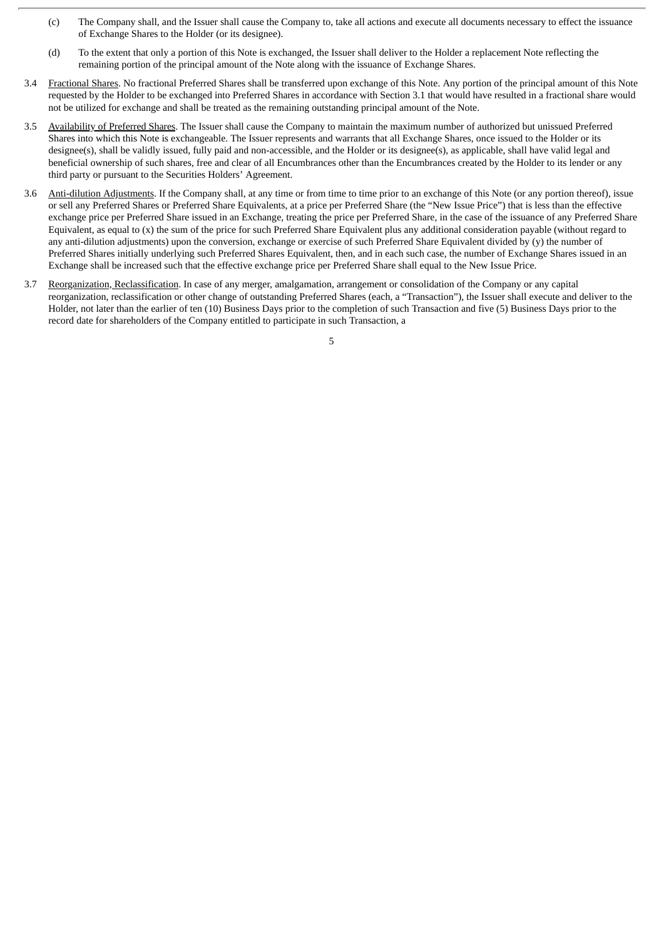- (c) The Company shall, and the Issuer shall cause the Company to, take all actions and execute all documents necessary to effect the issuance of Exchange Shares to the Holder (or its designee).
- (d) To the extent that only a portion of this Note is exchanged, the Issuer shall deliver to the Holder a replacement Note reflecting the remaining portion of the principal amount of the Note along with the issuance of Exchange Shares.
- 3.4 Fractional Shares. No fractional Preferred Shares shall be transferred upon exchange of this Note. Any portion of the principal amount of this Note requested by the Holder to be exchanged into Preferred Shares in accordance with Section 3.1 that would have resulted in a fractional share would not be utilized for exchange and shall be treated as the remaining outstanding principal amount of the Note.
- 3.5 Availability of Preferred Shares. The Issuer shall cause the Company to maintain the maximum number of authorized but unissued Preferred Shares into which this Note is exchangeable. The Issuer represents and warrants that all Exchange Shares, once issued to the Holder or its designee(s), shall be validly issued, fully paid and non-accessible, and the Holder or its designee(s), as applicable, shall have valid legal and beneficial ownership of such shares, free and clear of all Encumbrances other than the Encumbrances created by the Holder to its lender or any third party or pursuant to the Securities Holders' Agreement.
- 3.6 Anti-dilution Adjustments. If the Company shall, at any time or from time to time prior to an exchange of this Note (or any portion thereof), issue or sell any Preferred Shares or Preferred Share Equivalents, at a price per Preferred Share (the "New Issue Price") that is less than the effective exchange price per Preferred Share issued in an Exchange, treating the price per Preferred Share, in the case of the issuance of any Preferred Share Equivalent, as equal to (x) the sum of the price for such Preferred Share Equivalent plus any additional consideration payable (without regard to any anti-dilution adjustments) upon the conversion, exchange or exercise of such Preferred Share Equivalent divided by (y) the number of Preferred Shares initially underlying such Preferred Shares Equivalent, then, and in each such case, the number of Exchange Shares issued in an Exchange shall be increased such that the effective exchange price per Preferred Share shall equal to the New Issue Price.
- 3.7 Reorganization, Reclassification. In case of any merger, amalgamation, arrangement or consolidation of the Company or any capital reorganization, reclassification or other change of outstanding Preferred Shares (each, a "Transaction"), the Issuer shall execute and deliver to the Holder, not later than the earlier of ten (10) Business Days prior to the completion of such Transaction and five (5) Business Days prior to the record date for shareholders of the Company entitled to participate in such Transaction, a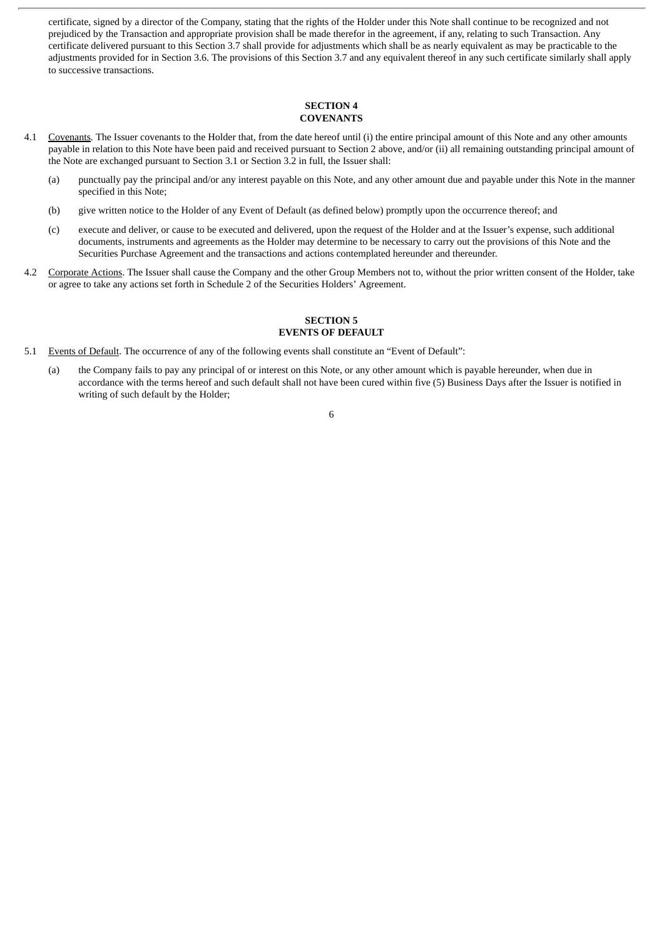certificate, signed by a director of the Company, stating that the rights of the Holder under this Note shall continue to be recognized and not prejudiced by the Transaction and appropriate provision shall be made therefor in the agreement, if any, relating to such Transaction. Any certificate delivered pursuant to this Section 3.7 shall provide for adjustments which shall be as nearly equivalent as may be practicable to the adjustments provided for in Section 3.6. The provisions of this Section 3.7 and any equivalent thereof in any such certificate similarly shall apply to successive transactions.

#### **SECTION 4 COVENANTS**

- 4.1 Covenants. The Issuer covenants to the Holder that, from the date hereof until (i) the entire principal amount of this Note and any other amounts payable in relation to this Note have been paid and received pursuant to Section 2 above, and/or (ii) all remaining outstanding principal amount of the Note are exchanged pursuant to Section 3.1 or Section 3.2 in full, the Issuer shall:
	- (a) punctually pay the principal and/or any interest payable on this Note, and any other amount due and payable under this Note in the manner specified in this Note;
	- (b) give written notice to the Holder of any Event of Default (as defined below) promptly upon the occurrence thereof; and
	- (c) execute and deliver, or cause to be executed and delivered, upon the request of the Holder and at the Issuer's expense, such additional documents, instruments and agreements as the Holder may determine to be necessary to carry out the provisions of this Note and the Securities Purchase Agreement and the transactions and actions contemplated hereunder and thereunder.
- 4.2 Corporate Actions. The Issuer shall cause the Company and the other Group Members not to, without the prior written consent of the Holder, take or agree to take any actions set forth in Schedule 2 of the Securities Holders' Agreement.

## **SECTION 5 EVENTS OF DEFAULT**

- 5.1 Events of Default. The occurrence of any of the following events shall constitute an "Event of Default":
	- (a) the Company fails to pay any principal of or interest on this Note, or any other amount which is payable hereunder, when due in accordance with the terms hereof and such default shall not have been cured within five (5) Business Days after the Issuer is notified in writing of such default by the Holder;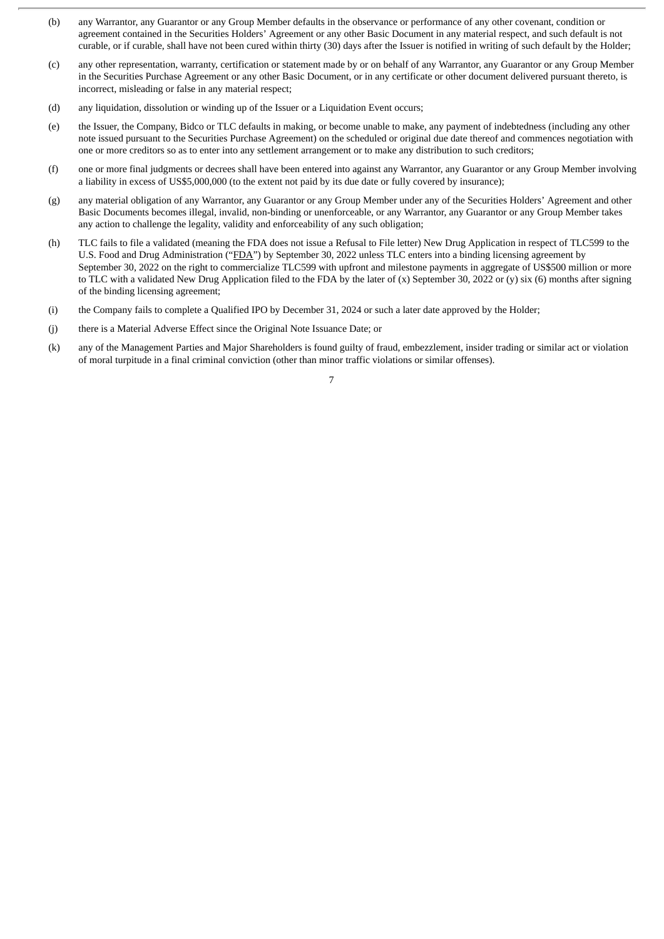- (b) any Warrantor, any Guarantor or any Group Member defaults in the observance or performance of any other covenant, condition or agreement contained in the Securities Holders' Agreement or any other Basic Document in any material respect, and such default is not curable, or if curable, shall have not been cured within thirty (30) days after the Issuer is notified in writing of such default by the Holder;
- (c) any other representation, warranty, certification or statement made by or on behalf of any Warrantor, any Guarantor or any Group Member in the Securities Purchase Agreement or any other Basic Document, or in any certificate or other document delivered pursuant thereto, is incorrect, misleading or false in any material respect;
- (d) any liquidation, dissolution or winding up of the Issuer or a Liquidation Event occurs;
- (e) the Issuer, the Company, Bidco or TLC defaults in making, or become unable to make, any payment of indebtedness (including any other note issued pursuant to the Securities Purchase Agreement) on the scheduled or original due date thereof and commences negotiation with one or more creditors so as to enter into any settlement arrangement or to make any distribution to such creditors;
- (f) one or more final judgments or decrees shall have been entered into against any Warrantor, any Guarantor or any Group Member involving a liability in excess of US\$5,000,000 (to the extent not paid by its due date or fully covered by insurance);
- (g) any material obligation of any Warrantor, any Guarantor or any Group Member under any of the Securities Holders' Agreement and other Basic Documents becomes illegal, invalid, non-binding or unenforceable, or any Warrantor, any Guarantor or any Group Member takes any action to challenge the legality, validity and enforceability of any such obligation;
- (h) TLC fails to file a validated (meaning the FDA does not issue a Refusal to File letter) New Drug Application in respect of TLC599 to the U.S. Food and Drug Administration ("FDA") by September 30, 2022 unless TLC enters into a binding licensing agreement by September 30, 2022 on the right to commercialize TLC599 with upfront and milestone payments in aggregate of US\$500 million or more to TLC with a validated New Drug Application filed to the FDA by the later of  $(x)$  September 30, 2022 or  $(y)$  six  $(6)$  months after signing of the binding licensing agreement;
- (i) the Company fails to complete a Qualified IPO by December 31, 2024 or such a later date approved by the Holder;
- (j) there is a Material Adverse Effect since the Original Note Issuance Date; or
- (k) any of the Management Parties and Major Shareholders is found guilty of fraud, embezzlement, insider trading or similar act or violation of moral turpitude in a final criminal conviction (other than minor traffic violations or similar offenses).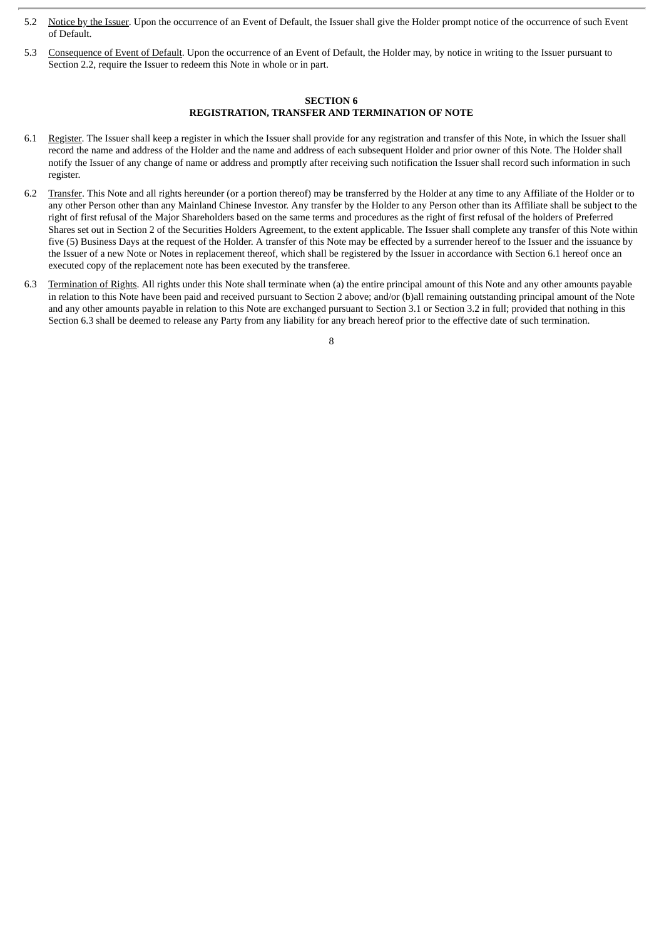- 5.2 Notice by the Issuer. Upon the occurrence of an Event of Default, the Issuer shall give the Holder prompt notice of the occurrence of such Event of Default.
- 5.3 Consequence of Event of Default. Upon the occurrence of an Event of Default, the Holder may, by notice in writing to the Issuer pursuant to Section 2.2, require the Issuer to redeem this Note in whole or in part.

#### **SECTION 6 REGISTRATION, TRANSFER AND TERMINATION OF NOTE**

- 6.1 Register. The Issuer shall keep a register in which the Issuer shall provide for any registration and transfer of this Note, in which the Issuer shall record the name and address of the Holder and the name and address of each subsequent Holder and prior owner of this Note. The Holder shall notify the Issuer of any change of name or address and promptly after receiving such notification the Issuer shall record such information in such register.
- 6.2 Transfer. This Note and all rights hereunder (or a portion thereof) may be transferred by the Holder at any time to any Affiliate of the Holder or to any other Person other than any Mainland Chinese Investor. Any transfer by the Holder to any Person other than its Affiliate shall be subject to the right of first refusal of the Major Shareholders based on the same terms and procedures as the right of first refusal of the holders of Preferred Shares set out in Section 2 of the Securities Holders Agreement, to the extent applicable. The Issuer shall complete any transfer of this Note within five (5) Business Days at the request of the Holder. A transfer of this Note may be effected by a surrender hereof to the Issuer and the issuance by the Issuer of a new Note or Notes in replacement thereof, which shall be registered by the Issuer in accordance with Section 6.1 hereof once an executed copy of the replacement note has been executed by the transferee.
- 6.3 Termination of Rights. All rights under this Note shall terminate when (a) the entire principal amount of this Note and any other amounts payable in relation to this Note have been paid and received pursuant to Section 2 above; and/or (b)all remaining outstanding principal amount of the Note and any other amounts payable in relation to this Note are exchanged pursuant to Section 3.1 or Section 3.2 in full; provided that nothing in this Section 6.3 shall be deemed to release any Party from any liability for any breach hereof prior to the effective date of such termination.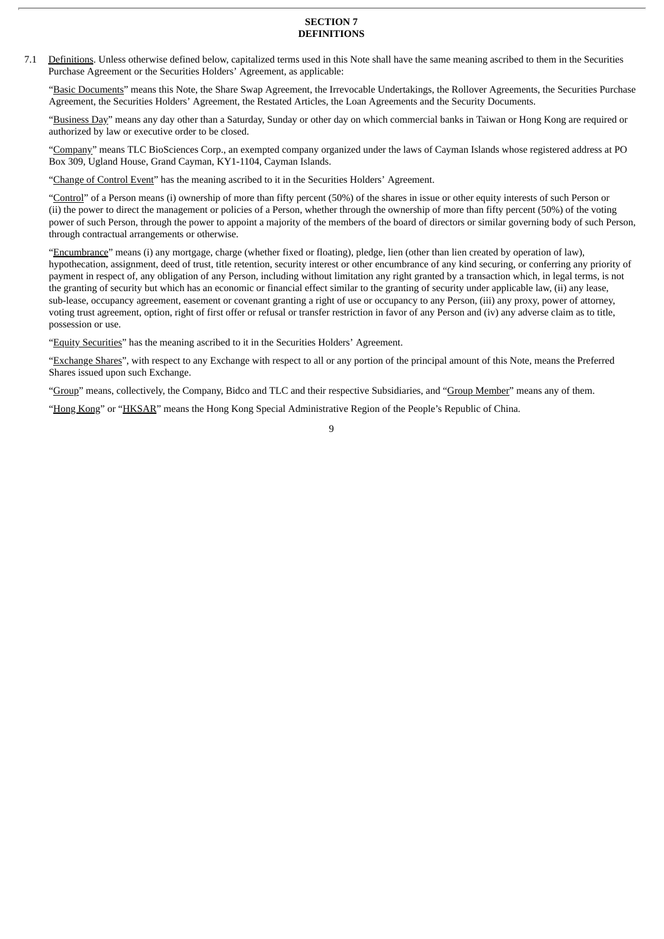#### **SECTION 7 DEFINITIONS**

7.1 Definitions. Unless otherwise defined below, capitalized terms used in this Note shall have the same meaning ascribed to them in the Securities Purchase Agreement or the Securities Holders' Agreement, as applicable:

"Basic Documents" means this Note, the Share Swap Agreement, the Irrevocable Undertakings, the Rollover Agreements, the Securities Purchase Agreement, the Securities Holders' Agreement, the Restated Articles, the Loan Agreements and the Security Documents.

"Business Day" means any day other than a Saturday, Sunday or other day on which commercial banks in Taiwan or Hong Kong are required or authorized by law or executive order to be closed.

"Company" means TLC BioSciences Corp., an exempted company organized under the laws of Cayman Islands whose registered address at PO Box 309, Ugland House, Grand Cayman, KY1-1104, Cayman Islands.

"Change of Control Event" has the meaning ascribed to it in the Securities Holders' Agreement.

"Control" of a Person means (i) ownership of more than fifty percent (50%) of the shares in issue or other equity interests of such Person or (ii) the power to direct the management or policies of a Person, whether through the ownership of more than fifty percent (50%) of the voting power of such Person, through the power to appoint a majority of the members of the board of directors or similar governing body of such Person, through contractual arrangements or otherwise.

"Encumbrance" means (i) any mortgage, charge (whether fixed or floating), pledge, lien (other than lien created by operation of law), hypothecation, assignment, deed of trust, title retention, security interest or other encumbrance of any kind securing, or conferring any priority of payment in respect of, any obligation of any Person, including without limitation any right granted by a transaction which, in legal terms, is not the granting of security but which has an economic or financial effect similar to the granting of security under applicable law, (ii) any lease, sub-lease, occupancy agreement, easement or covenant granting a right of use or occupancy to any Person, (iii) any proxy, power of attorney, voting trust agreement, option, right of first offer or refusal or transfer restriction in favor of any Person and (iv) any adverse claim as to title, possession or use.

"Equity Securities" has the meaning ascribed to it in the Securities Holders' Agreement.

"Exchange Shares", with respect to any Exchange with respect to all or any portion of the principal amount of this Note, means the Preferred Shares issued upon such Exchange.

"Group" means, collectively, the Company, Bidco and TLC and their respective Subsidiaries, and "Group Member" means any of them.

"Hong Kong" or "HKSAR" means the Hong Kong Special Administrative Region of the People's Republic of China.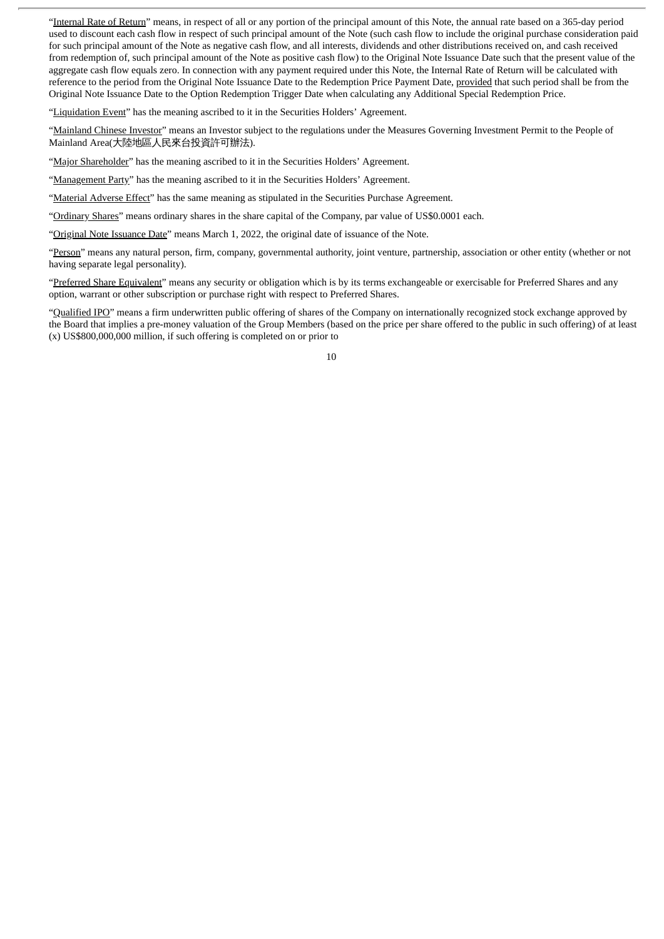"Internal Rate of Return" means, in respect of all or any portion of the principal amount of this Note, the annual rate based on a 365-day period used to discount each cash flow in respect of such principal amount of the Note (such cash flow to include the original purchase consideration paid for such principal amount of the Note as negative cash flow, and all interests, dividends and other distributions received on, and cash received from redemption of, such principal amount of the Note as positive cash flow) to the Original Note Issuance Date such that the present value of the aggregate cash flow equals zero. In connection with any payment required under this Note, the Internal Rate of Return will be calculated with reference to the period from the Original Note Issuance Date to the Redemption Price Payment Date, provided that such period shall be from the Original Note Issuance Date to the Option Redemption Trigger Date when calculating any Additional Special Redemption Price.

"Liquidation Event" has the meaning ascribed to it in the Securities Holders' Agreement.

"Mainland Chinese Investor" means an Investor subject to the regulations under the Measures Governing Investment Permit to the People of Mainland Area(大陸地區人民來台投資許可辦法).

"Major Shareholder" has the meaning ascribed to it in the Securities Holders' Agreement.

"Management Party" has the meaning ascribed to it in the Securities Holders' Agreement.

"Material Adverse Effect" has the same meaning as stipulated in the Securities Purchase Agreement.

"Ordinary Shares" means ordinary shares in the share capital of the Company, par value of US\$0.0001 each.

"Original Note Issuance Date" means March 1, 2022, the original date of issuance of the Note.

"Person" means any natural person, firm, company, governmental authority, joint venture, partnership, association or other entity (whether or not having separate legal personality).

"Preferred Share Equivalent" means any security or obligation which is by its terms exchangeable or exercisable for Preferred Shares and any option, warrant or other subscription or purchase right with respect to Preferred Shares.

"Qualified IPO" means a firm underwritten public offering of shares of the Company on internationally recognized stock exchange approved by the Board that implies a pre-money valuation of the Group Members (based on the price per share offered to the public in such offering) of at least (x) US\$800,000,000 million, if such offering is completed on or prior to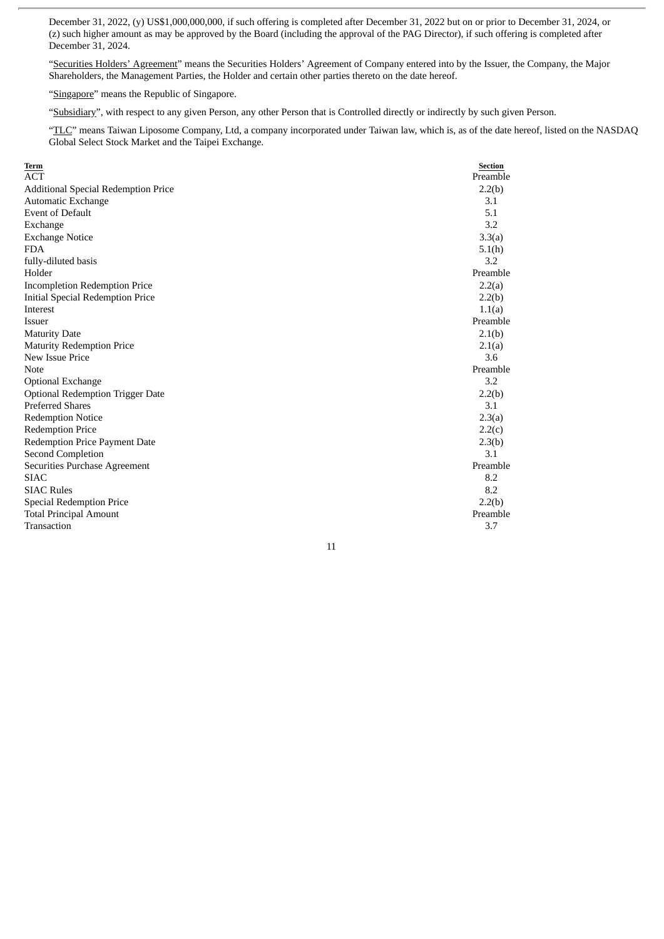December 31, 2022, (y) US\$1,000,000,000, if such offering is completed after December 31, 2022 but on or prior to December 31, 2024, or (z) such higher amount as may be approved by the Board (including the approval of the PAG Director), if such offering is completed after December 31, 2024.

"Securities Holders' Agreement" means the Securities Holders' Agreement of Company entered into by the Issuer, the Company, the Major Shareholders, the Management Parties, the Holder and certain other parties thereto on the date hereof.

"Singapore" means the Republic of Singapore.

"Subsidiary", with respect to any given Person, any other Person that is Controlled directly or indirectly by such given Person.

"TLC" means Taiwan Liposome Company, Ltd, a company incorporated under Taiwan law, which is, as of the date hereof, listed on the NASDAQ Global Select Stock Market and the Taipei Exchange.

| Term                                    | <b>Section</b> |
|-----------------------------------------|----------------|
| <b>ACT</b>                              | Preamble       |
| Additional Special Redemption Price     | 2.2(b)         |
| Automatic Exchange                      | 3.1            |
| <b>Event of Default</b>                 | 5.1            |
| Exchange                                | 3.2            |
| <b>Exchange Notice</b>                  | 3.3(a)         |
| <b>FDA</b>                              | 5.1(h)         |
| fully-diluted basis                     | 3.2            |
| Holder                                  | Preamble       |
| <b>Incompletion Redemption Price</b>    | 2.2(a)         |
| Initial Special Redemption Price        | 2.2(b)         |
| Interest                                | 1.1(a)         |
| <b>Issuer</b>                           | Preamble       |
| <b>Maturity Date</b>                    | 2.1(b)         |
| <b>Maturity Redemption Price</b>        | 2.1(a)         |
| New Issue Price                         | 3.6            |
| <b>Note</b>                             | Preamble       |
| <b>Optional Exchange</b>                | 3.2            |
| <b>Optional Redemption Trigger Date</b> | 2.2(b)         |
| <b>Preferred Shares</b>                 | 3.1            |
| <b>Redemption Notice</b>                | 2.3(a)         |
| <b>Redemption Price</b>                 | 2.2(c)         |
| <b>Redemption Price Payment Date</b>    | 2.3(b)         |
| Second Completion                       | 3.1            |
| Securities Purchase Agreement           | Preamble       |
| <b>SIAC</b>                             | 8.2            |
| <b>SIAC Rules</b>                       | 8.2            |
| Special Redemption Price                | 2.2(b)         |
| <b>Total Principal Amount</b>           | Preamble       |
| Transaction                             | 3.7            |
|                                         |                |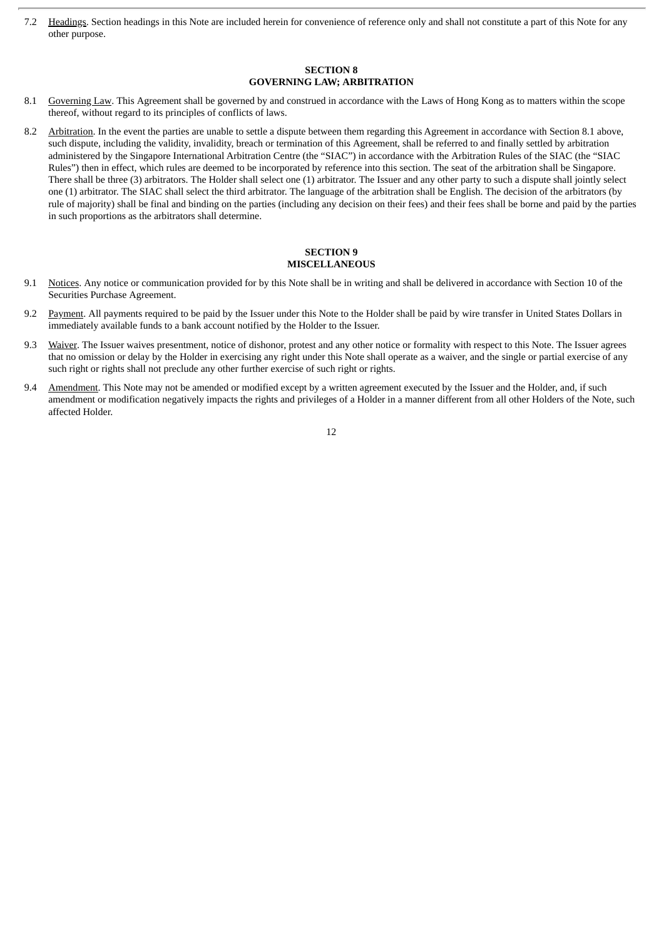7.2 Headings. Section headings in this Note are included herein for convenience of reference only and shall not constitute a part of this Note for any other purpose.

## **SECTION 8 GOVERNING LAW; ARBITRATION**

- 8.1 Governing Law. This Agreement shall be governed by and construed in accordance with the Laws of Hong Kong as to matters within the scope thereof, without regard to its principles of conflicts of laws.
- 8.2 Arbitration. In the event the parties are unable to settle a dispute between them regarding this Agreement in accordance with Section 8.1 above, such dispute, including the validity, invalidity, breach or termination of this Agreement, shall be referred to and finally settled by arbitration administered by the Singapore International Arbitration Centre (the "SIAC") in accordance with the Arbitration Rules of the SIAC (the "SIAC Rules") then in effect, which rules are deemed to be incorporated by reference into this section. The seat of the arbitration shall be Singapore. There shall be three (3) arbitrators. The Holder shall select one (1) arbitrator. The Issuer and any other party to such a dispute shall jointly select one (1) arbitrator. The SIAC shall select the third arbitrator. The language of the arbitration shall be English. The decision of the arbitrators (by rule of majority) shall be final and binding on the parties (including any decision on their fees) and their fees shall be borne and paid by the parties in such proportions as the arbitrators shall determine.

#### **SECTION 9 MISCELLANEOUS**

- 9.1 Notices. Any notice or communication provided for by this Note shall be in writing and shall be delivered in accordance with Section 10 of the Securities Purchase Agreement.
- 9.2 Payment. All payments required to be paid by the Issuer under this Note to the Holder shall be paid by wire transfer in United States Dollars in immediately available funds to a bank account notified by the Holder to the Issuer.
- 9.3 Waiver. The Issuer waives presentment, notice of dishonor, protest and any other notice or formality with respect to this Note. The Issuer agrees that no omission or delay by the Holder in exercising any right under this Note shall operate as a waiver, and the single or partial exercise of any such right or rights shall not preclude any other further exercise of such right or rights.
- 9.4 Amendment. This Note may not be amended or modified except by a written agreement executed by the Issuer and the Holder, and, if such amendment or modification negatively impacts the rights and privileges of a Holder in a manner different from all other Holders of the Note, such affected Holder.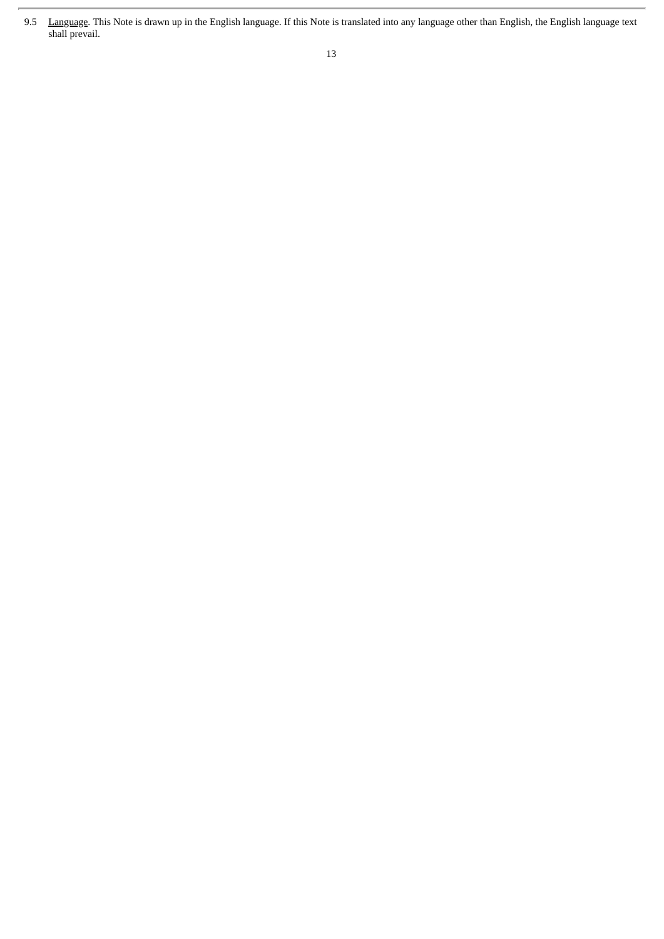<sup>9.5</sup> Language. This Note is drawn up in the English language. If this Note is translated into any language other than English, the English language text shall prevail.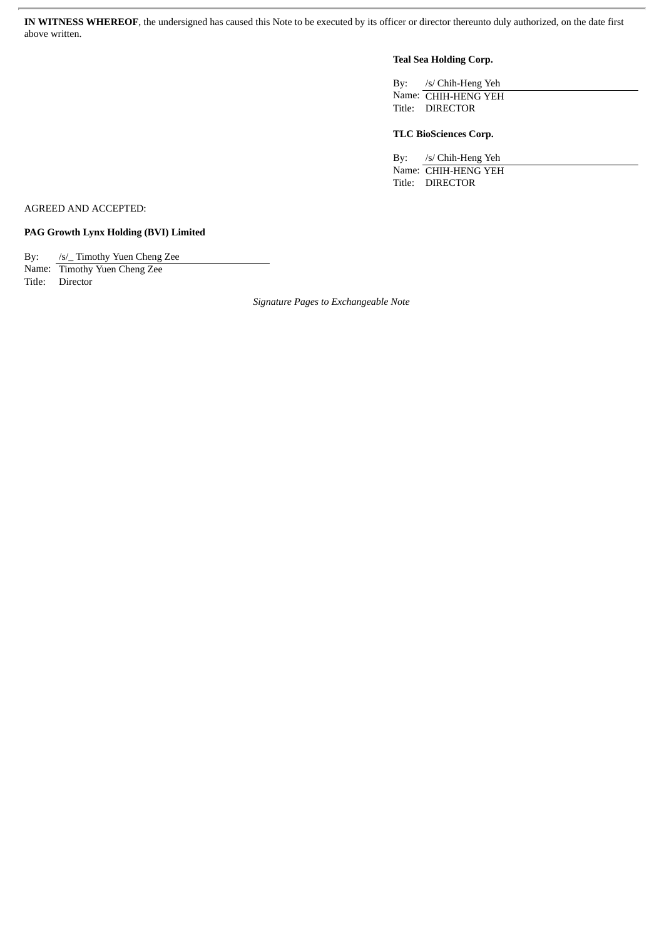**IN WITNESS WHEREOF**, the undersigned has caused this Note to be executed by its officer or director thereunto duly authorized, on the date first above written.

## **Teal Sea Holding Corp.**

By: /s/ Chih-Heng Yeh Name: CHIH-HENG YEH Title: DIRECTOR

## **TLC BioSciences Corp.**

By: /s/ Chih-Heng Yeh Name: CHIH-HENG YEH Title: DIRECTOR

AGREED AND ACCEPTED:

**PAG Growth Lynx Holding (BVI) Limited**

By: /s/\_ Timothy Yuen Cheng Zee

Name: Timothy Yuen Cheng Zee Title: Director

*Signature Pages to Exchangeable Note*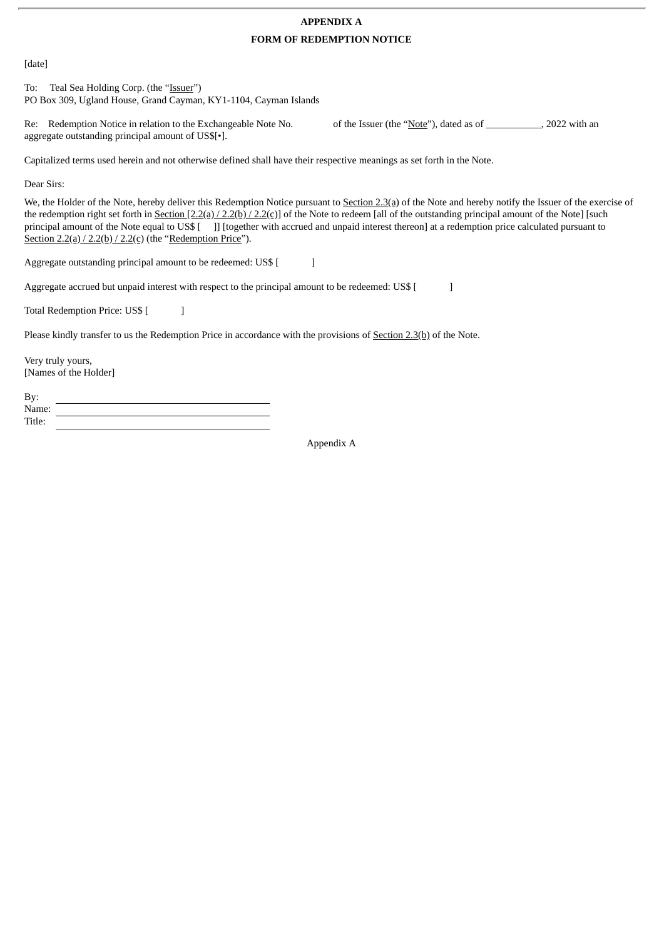## **APPENDIX A**

## **FORM OF REDEMPTION NOTICE**

[date]

To: Teal Sea Holding Corp. (the "Issuer") PO Box 309, Ugland House, Grand Cayman, KY1-1104, Cayman Islands

Re: Redemption Notice in relation to the Exchangeable Note No. of the Issuer (the "Note"), dated as of \_\_\_\_\_\_\_\_\_\_, 2022 with an aggregate outstanding principal amount of US\$[•].

Capitalized terms used herein and not otherwise defined shall have their respective meanings as set forth in the Note.

Dear Sirs:

We, the Holder of the Note, hereby deliver this Redemption Notice pursuant to Section 2.3(a) of the Note and hereby notify the Issuer of the exercise of the redemption right set forth in Section  $[2.2(a)/2.2(b)/2.2(c)]$  of the Note to redeem [all of the outstanding principal amount of the Note] [such principal amount of the Note equal to US\$ [ ]] [together with accrued and unpaid interest thereon] at a redemption price calculated pursuant to Section  $2.2(a)/2.2(b)/2.2(c)$  (the "Redemption Price").

Aggregate outstanding principal amount to be redeemed: US\$ [

Aggregate accrued but unpaid interest with respect to the principal amount to be redeemed: US\$ [  $\qquad$  ]

Total Redemption Price: US\$ [

Please kindly transfer to us the Redemption Price in accordance with the provisions of Section 2.3(b) of the Note.

Very truly yours, [Names of the Holder]

By: Name: Title:

Appendix A